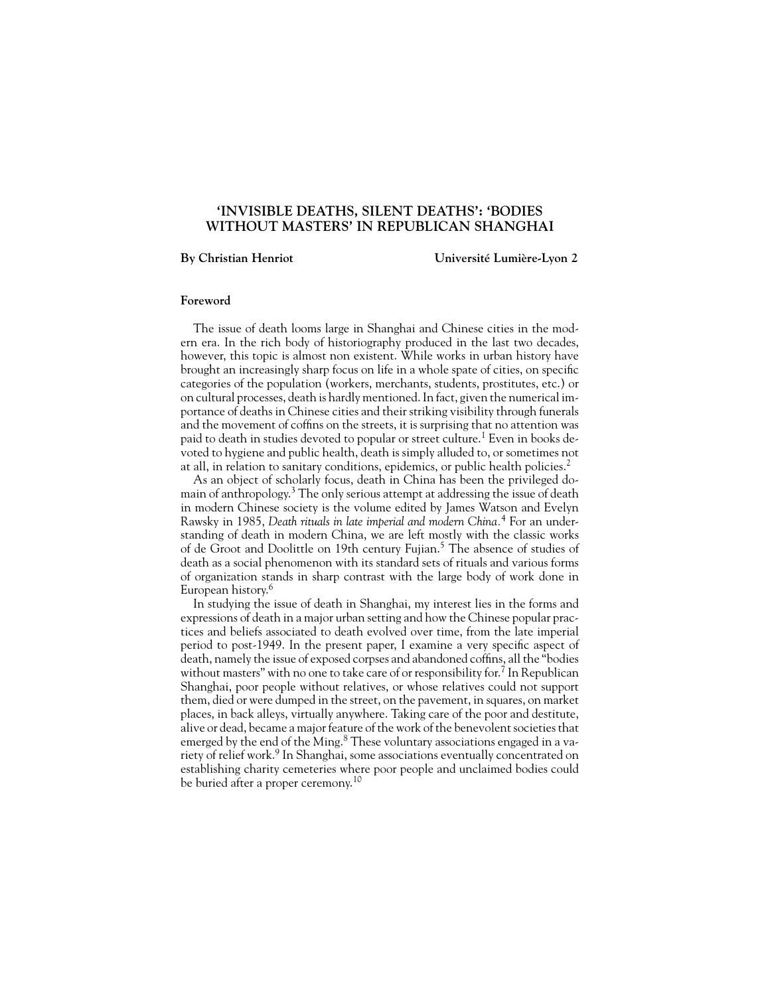# **'INVISIBLE DEATHS, SILENT DEATHS': 'BODIES WITHOUT MASTERS' IN REPUBLICAN SHANGHAI**

**By Christian Henriot Université Lumière-Lyon 2**

## **Foreword**

The issue of death looms large in Shanghai and Chinese cities in the modern era. In the rich body of historiography produced in the last two decades, however, this topic is almost non existent. While works in urban history have brought an increasingly sharp focus on life in a whole spate of cities, on specific categories of the population (workers, merchants, students, prostitutes, etc.) or on cultural processes, death is hardly mentioned. In fact, given the numerical importance of deaths in Chinese cities and their striking visibility through funerals and the movement of coffins on the streets, it is surprising that no attention was paid to death in studies devoted to popular or street culture.<sup>1</sup> Even in books devoted to hygiene and public health, death is simply alluded to, or sometimes not at all, in relation to sanitary conditions, epidemics, or public health policies.<sup>2</sup>

As an object of scholarly focus, death in China has been the privileged domain of anthropology.<sup>3</sup> The only serious attempt at addressing the issue of death in modern Chinese society is the volume edited by James Watson and Evelyn Rawsky in 1985, *Death rituals in late imperial and modern China.*<sup>4</sup> For an understanding of death in modern China, we are left mostly with the classic works of de Groot and Doolittle on 19th century Fujian.<sup>5</sup> The absence of studies of death as a social phenomenon with its standard sets of rituals and various forms of organization stands in sharp contrast with the large body of work done in European history.<sup>6</sup>

In studying the issue of death in Shanghai, my interest lies in the forms and expressions of death in a major urban setting and how the Chinese popular practices and beliefs associated to death evolved over time, from the late imperial period to post-1949. In the present paper, I examine a very specific aspect of death, namely the issue of exposed corpses and abandoned coffins, all the "bodies without masters" with no one to take care of or responsibility for.<sup>7</sup> In Republican Shanghai, poor people without relatives, or whose relatives could not support them, died or were dumped in the street, on the pavement, in squares, on market places, in back alleys, virtually anywhere. Taking care of the poor and destitute, alive or dead, became a major feature of the work of the benevolent societies that emerged by the end of the Ming.<sup>8</sup> These voluntary associations engaged in a variety of relief work.<sup>9</sup> In Shanghai, some associations eventually concentrated on establishing charity cemeteries where poor people and unclaimed bodies could be buried after a proper ceremony.<sup>10</sup>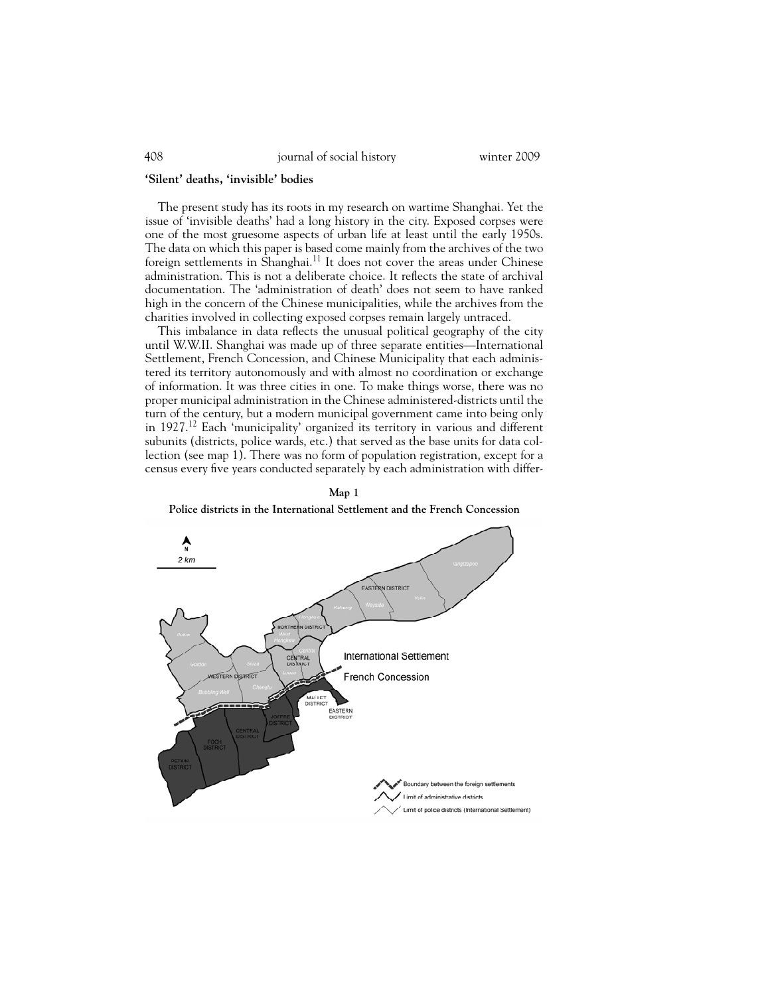## **'Silent' deaths, 'invisible' bodies**

The present study has its roots in my research on wartime Shanghai. Yet the issue of 'invisible deaths' had a long history in the city. Exposed corpses were one of the most gruesome aspects of urban life at least until the early 1950s. The data on which this paper is based come mainly from the archives of the two foreign settlements in Shanghai.<sup>11</sup> It does not cover the areas under Chinese administration. This is not a deliberate choice. It reflects the state of archival documentation. The 'administration of death' does not seem to have ranked high in the concern of the Chinese municipalities, while the archives from the charities involved in collecting exposed corpses remain largely untraced.

This imbalance in data reflects the unusual political geography of the city until W.W.II. Shanghai was made up of three separate entities—International Settlement, French Concession, and Chinese Municipality that each administered its territory autonomously and with almost no coordination or exchange of information. It was three cities in one. To make things worse, there was no proper municipal administration in the Chinese administered-districts until the turn of the century, but a modern municipal government came into being only in 1927.<sup>12</sup> Each 'municipality' organized its territory in various and different subunits (districts, police wards, etc.) that served as the base units for data collection (see map 1). There was no form of population registration, except for a census every five years conducted separately by each administration with differ-



**Map 1 Police districts in the International Settlement and the French Concession**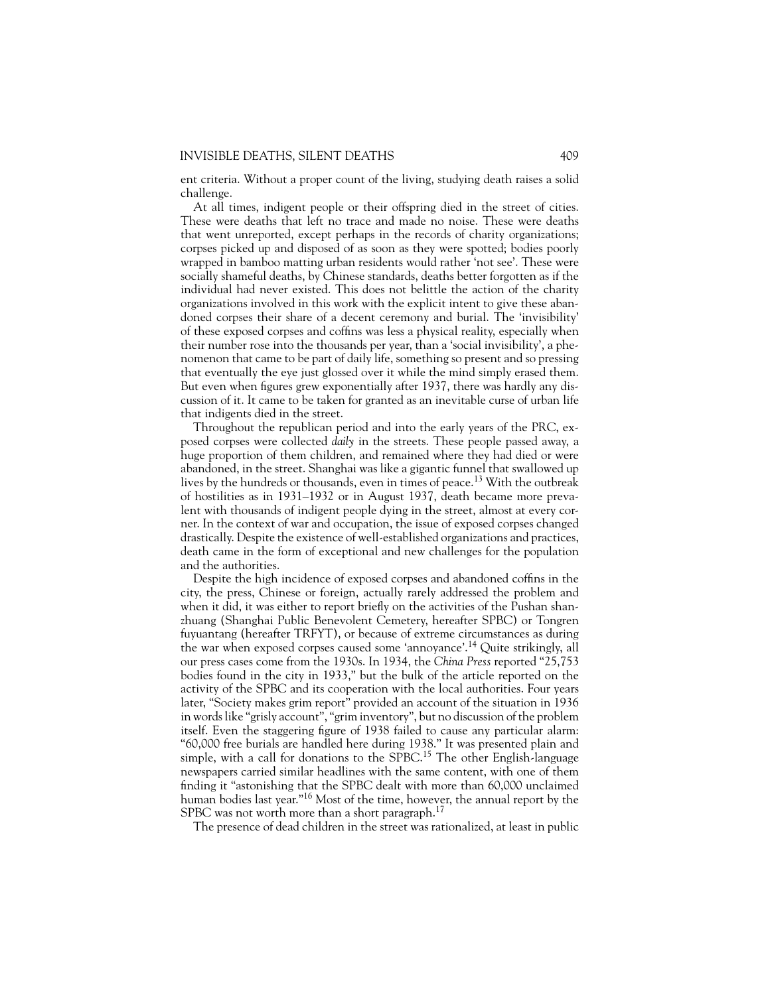ent criteria. Without a proper count of the living, studying death raises a solid challenge.

At all times, indigent people or their offspring died in the street of cities. These were deaths that left no trace and made no noise. These were deaths that went unreported, except perhaps in the records of charity organizations; corpses picked up and disposed of as soon as they were spotted; bodies poorly wrapped in bamboo matting urban residents would rather 'not see'. These were socially shameful deaths, by Chinese standards, deaths better forgotten as if the individual had never existed. This does not belittle the action of the charity organizations involved in this work with the explicit intent to give these abandoned corpses their share of a decent ceremony and burial. The 'invisibility' of these exposed corpses and coffins was less a physical reality, especially when their number rose into the thousands per year, than a 'social invisibility', a phenomenon that came to be part of daily life, something so present and so pressing that eventually the eye just glossed over it while the mind simply erased them. But even when figures grew exponentially after 1937, there was hardly any discussion of it. It came to be taken for granted as an inevitable curse of urban life that indigents died in the street.

Throughout the republican period and into the early years of the PRC, exposed corpses were collected *daily* in the streets. These people passed away, a huge proportion of them children, and remained where they had died or were abandoned, in the street. Shanghai was like a gigantic funnel that swallowed up lives by the hundreds or thousands, even in times of peace.<sup>13</sup> With the outbreak of hostilities as in 1931–1932 or in August 1937, death became more prevalent with thousands of indigent people dying in the street, almost at every corner. In the context of war and occupation, the issue of exposed corpses changed drastically. Despite the existence of well-established organizations and practices, death came in the form of exceptional and new challenges for the population and the authorities.

Despite the high incidence of exposed corpses and abandoned coffins in the city, the press, Chinese or foreign, actually rarely addressed the problem and when it did, it was either to report briefly on the activities of the Pushan shanzhuang (Shanghai Public Benevolent Cemetery, hereafter SPBC) or Tongren fuyuantang (hereafter TRFYT), or because of extreme circumstances as during the war when exposed corpses caused some 'annoyance'.<sup>14</sup> Quite strikingly, all our press cases come from the 1930s. In 1934, the *China Press* reported "25,753 bodies found in the city in 1933," but the bulk of the article reported on the activity of the SPBC and its cooperation with the local authorities. Four years later, "Society makes grim report" provided an account of the situation in 1936 in words like "grisly account", "grim inventory", but no discussion of the problem itself. Even the staggering figure of 1938 failed to cause any particular alarm: "60,000 free burials are handled here during 1938." It was presented plain and simple, with a call for donations to the SPBC.<sup>15</sup> The other English-language newspapers carried similar headlines with the same content, with one of them finding it "astonishing that the SPBC dealt with more than 60,000 unclaimed human bodies last year."<sup>16</sup> Most of the time, however, the annual report by the SPBC was not worth more than a short paragraph.<sup>17</sup>

The presence of dead children in the street was rationalized, at least in public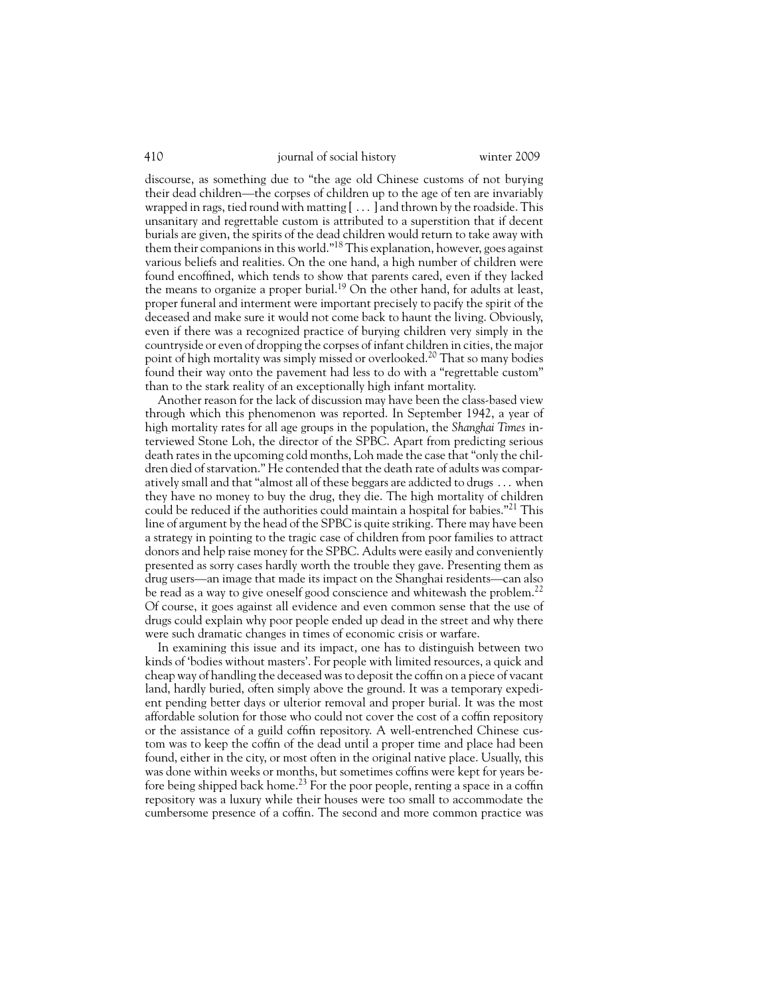discourse, as something due to "the age old Chinese customs of not burying their dead children—the corpses of children up to the age of ten are invariably wrapped in rags, tied round with matting  $\lceil \ldots \rceil$  and thrown by the roadside. This unsanitary and regrettable custom is attributed to a superstition that if decent burials are given, the spirits of the dead children would return to take away with them their companions in this world."<sup>18</sup> This explanation, however, goes against various beliefs and realities. On the one hand, a high number of children were found encoffined, which tends to show that parents cared, even if they lacked the means to organize a proper burial.<sup>19</sup> On the other hand, for adults at least, proper funeral and interment were important precisely to pacify the spirit of the deceased and make sure it would not come back to haunt the living. Obviously, even if there was a recognized practice of burying children very simply in the countryside or even of dropping the corpses of infant children in cities, the major point of high mortality was simply missed or overlooked.<sup>20</sup> That so many bodies found their way onto the pavement had less to do with a "regrettable custom" than to the stark reality of an exceptionally high infant mortality.

Another reason for the lack of discussion may have been the class-based view through which this phenomenon was reported. In September 1942, a year of high mortality rates for all age groups in the population, the *Shanghai Times* interviewed Stone Loh, the director of the SPBC. Apart from predicting serious death rates in the upcoming cold months, Loh made the case that "only the children died of starvation." He contended that the death rate of adults was comparatively small and that "almost all of these beggars are addicted to drugs : : : when they have no money to buy the drug, they die. The high mortality of children could be reduced if the authorities could maintain a hospital for babies."<sup>21</sup> This line of argument by the head of the SPBC is quite striking. There may have been a strategy in pointing to the tragic case of children from poor families to attract donors and help raise money for the SPBC. Adults were easily and conveniently presented as sorry cases hardly worth the trouble they gave. Presenting them as drug users—an image that made its impact on the Shanghai residents—can also be read as a way to give oneself good conscience and whitewash the problem.<sup>22</sup> Of course, it goes against all evidence and even common sense that the use of drugs could explain why poor people ended up dead in the street and why there were such dramatic changes in times of economic crisis or warfare.

In examining this issue and its impact, one has to distinguish between two kinds of 'bodies without masters'. For people with limited resources, a quick and cheap way of handling the deceased was to deposit the coffin on a piece of vacant land, hardly buried, often simply above the ground. It was a temporary expedient pending better days or ulterior removal and proper burial. It was the most affordable solution for those who could not cover the cost of a coffin repository or the assistance of a guild coffin repository. A well-entrenched Chinese custom was to keep the coffin of the dead until a proper time and place had been found, either in the city, or most often in the original native place. Usually, this was done within weeks or months, but sometimes coffins were kept for years before being shipped back home.<sup>23</sup> For the poor people, renting a space in a coffin repository was a luxury while their houses were too small to accommodate the cumbersome presence of a coffin. The second and more common practice was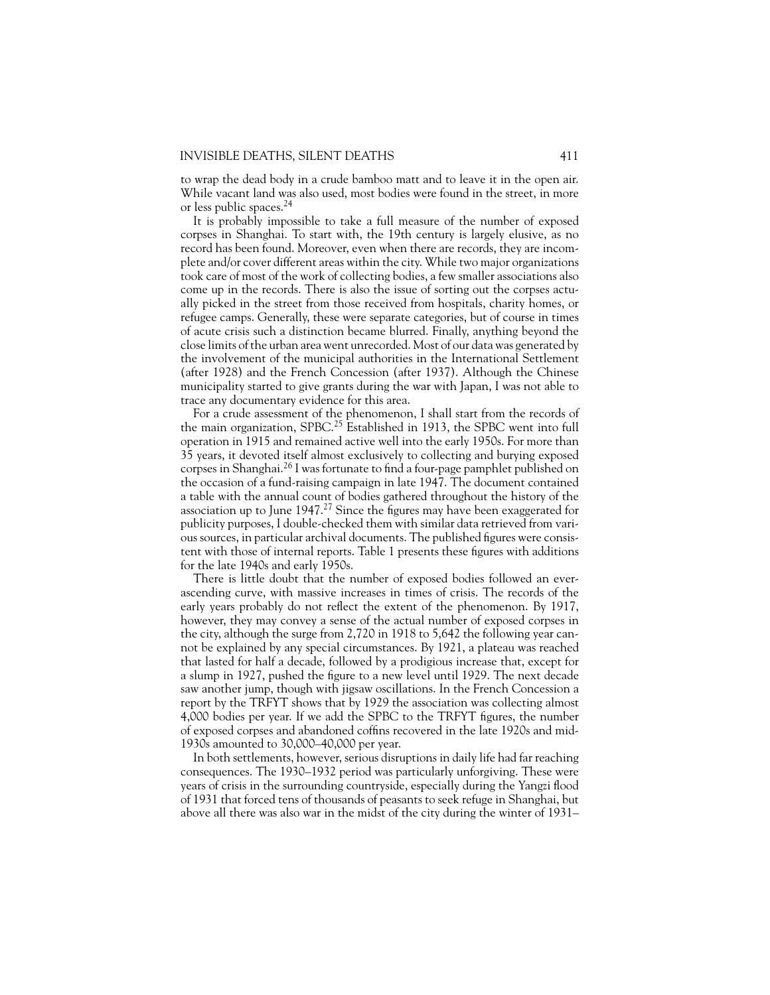to wrap the dead body in a crude bamboo matt and to leave it in the open air. While vacant land was also used, most bodies were found in the street, in more or less public spaces.<sup>24</sup>

It is probably impossible to take a full measure of the number of exposed corpses in Shanghai. To start with, the 19th century is largely elusive, as no record has been found. Moreover, even when there are records, they are incomplete and/or cover different areas within the city. While two major organizations took care of most of the work of collecting bodies, a few smaller associations also come up in the records. There is also the issue of sorting out the corpses actually picked in the street from those received from hospitals, charity homes, or refugee camps. Generally, these were separate categories, but of course in times of acute crisis such a distinction became blurred. Finally, anything beyond the close limits of the urban area went unrecorded. Most of our data was generated by the involvement of the municipal authorities in the International Settlement (after 1928) and the French Concession (after 1937). Although the Chinese municipality started to give grants during the war with Japan, I was not able to trace any documentary evidence for this area.

For a crude assessment of the phenomenon, I shall start from the records of the main organization, SPBC.<sup>25</sup> Established in 1913, the SPBC went into full operation in 1915 and remained active well into the early 1950s. For more than 35 years, it devoted itself almost exclusively to collecting and burying exposed corpses in Shanghai.<sup>26</sup> I was fortunate to find a four-page pamphlet published on the occasion of a fund-raising campaign in late 1947. The document contained a table with the annual count of bodies gathered throughout the history of the association up to June  $1947<sup>27</sup>$  Since the figures may have been exaggerated for publicity purposes, I double-checked them with similar data retrieved from various sources, in particular archival documents. The published figures were consistent with those of internal reports. Table 1 presents these figures with additions for the late 1940s and early 1950s.

There is little doubt that the number of exposed bodies followed an everascending curve, with massive increases in times of crisis. The records of the early years probably do not reflect the extent of the phenomenon. By 1917, however, they may convey a sense of the actual number of exposed corpses in the city, although the surge from 2,720 in 1918 to 5,642 the following year cannot be explained by any special circumstances. By 1921, a plateau was reached that lasted for half a decade, followed by a prodigious increase that, except for a slump in 1927, pushed the figure to a new level until 1929. The next decade saw another jump, though with jigsaw oscillations. In the French Concession a report by the TRFYT shows that by 1929 the association was collecting almost 4,000 bodies per year. If we add the SPBC to the TRFYT figures, the number of exposed corpses and abandoned coffins recovered in the late 1920s and mid-1930s amounted to 30,000–40,000 per year.

In both settlements, however, serious disruptions in daily life had far reaching consequences. The 1930–1932 period was particularly unforgiving. These were years of crisis in the surrounding countryside, especially during the Yangzi flood of 1931 that forced tens of thousands of peasants to seek refuge in Shanghai, but above all there was also war in the midst of the city during the winter of 1931–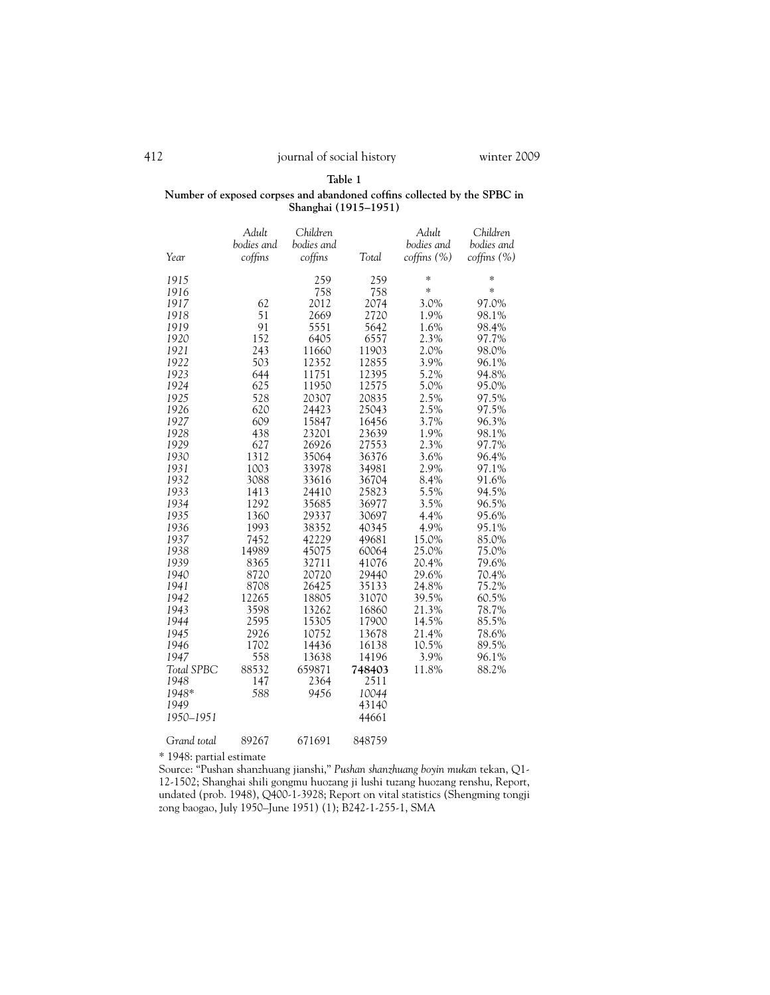## journal of social history winter 2009

#### *Adult Children Adult Children bodies and bodies and bodies and bodies and Year coffins coffins Total coffins (%) coffins (%)* 259 259 \* \* 758 758 \* \* 62 2012 2074 3.0% 97.0% 51 2669 2720 1.9% 98.1% 91 5551 5642 1.6% 98.4% 152 6405 6557 2.3% 97.7% 243 11660 11903 2.0% 98.0% 503 12352 12855 3.9% 96.1% 644 11751 12395 5.2% 94.8% 625 11950 12575 5.0% 95.0% 528 20307 20835 2.5% 97.5% 620 24423 25043 2.5% 97.5% 609 15847 16456 3.7% 96.3% 438 23201 23639 1.9% 98.1% 627 26926 27553 2.3% 97.7% 1312 35064 36376 3.6% 96.4% 1003 33978 34981 2.9% 97.1% 3088 33616 36704 8.4% 91.6% 1413 24410 25823 5.5% 94.5% 1292 35685 36977 3.5% 96.5% 1360 29337 30697 4.4% 95.6% 1993 38352 40345 4.9% 95.1% 7452 42229 49681 15.0% 85.0% 14989 45075 60064 25.0% 75.0% 8365 32711 41076 20.4% 79.6% 8720 20720 29440 29.6% 70.4% 8708 26425 35133 24.8% 75.2% 12265 18805 31070 39.5% 60.5% 3598 13262 16860 21.3% 78.7% 2595 15305 17900 14.5% 85.5% 2926 10752 13678 21.4% 78.6% 1702 14436 16138 10.5% 89.5% 558 13638 14196 3.9% 96.1% *Total SPBC* 88532 659871 **748403** 11.8% 88.2% 147 2364 2511 *1948\* 588 9456 10044* 43140 *1950–1951* 44661

## **Table 1 Number of exposed corpses and abandoned coffins collected by the SPBC in Shanghai (1915–1951)**

*Grand total* 89267 671691 848759

\* 1948: partial estimate

Source: "Pushan shanzhuang jianshi," *Pushan shanzhuang boyin mukan* tekan, Q1- 12-1502; Shanghai shili gongmu huozang ji lushi tuzang huozang renshu, Report, undated (prob. 1948), Q400-1-3928; Report on vital statistics (Shengming tongji zong baogao, July 1950–June 1951) (1); B242-1-255-1, SMA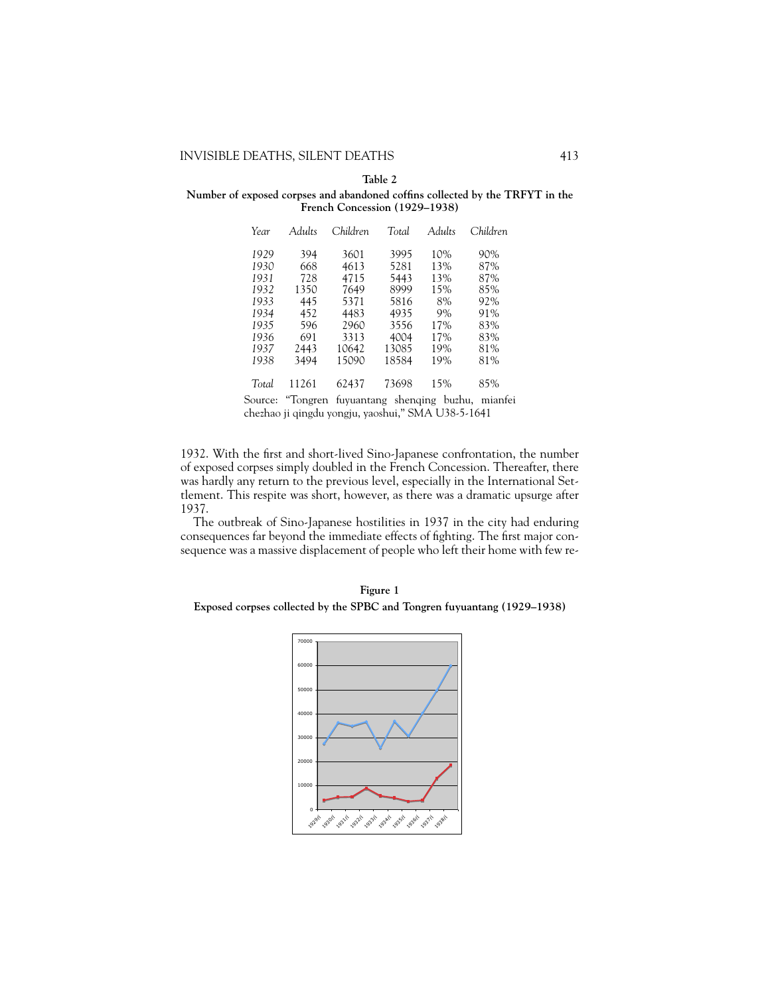## **Table 2 Number of exposed corpses and abandoned coffins collected by the TRFYT in the French Concession (1929–1938)**

| Year  | Adults | Children | Total | Adults                                                                                                       | Children |
|-------|--------|----------|-------|--------------------------------------------------------------------------------------------------------------|----------|
| 1929  | 394    | 3601     | 3995  | 10%                                                                                                          | 90%      |
| 1930  | 668    | 4613     | 5281  | 13%                                                                                                          | 87%      |
| 1931  | 728    | 4715     | 5443  | 13%                                                                                                          | 87%      |
| 1932  | 1350   | 7649     | 8999  | 15%                                                                                                          | 85%      |
| 1933  | 445    | 5371     | 5816  | 8%                                                                                                           | 92%      |
| 1934  | 452    | 4483     | 4935  | 9%                                                                                                           | 91%      |
| 1935  | 596    | 2960     | 3556  | 17%                                                                                                          | 83%      |
| 1936  | 691    | 3313     | 4004  | 17%                                                                                                          | 83%      |
| 1937  | 2443   | 10642    | 13085 | 19%                                                                                                          | 81%      |
| 1938  | 3494   | 15090    | 18584 | 19%                                                                                                          | 81%      |
| Total | 11261  | 62437    | 73698 | 15%                                                                                                          | 85%      |
|       |        |          |       | $\mathbf{u}$ . $\mathbf{u}$ is the set of $\mathbf{u}$ is the set of $\mathbf{u}$ is the set of $\mathbf{u}$ |          |

Source: "Tongren fuyuantang shenqing buzhu, mianfei chezhao ji qingdu yongju, yaoshui," SMA U38-5-1641

1932. With the first and short-lived Sino-Japanese confrontation, the number of exposed corpses simply doubled in the French Concession. Thereafter, there was hardly any return to the previous level, especially in the International Settlement. This respite was short, however, as there was a dramatic upsurge after 1937.

The outbreak of Sino-Japanese hostilities in 1937 in the city had enduring consequences far beyond the immediate effects of fighting. The first major consequence was a massive displacement of people who left their home with few re-



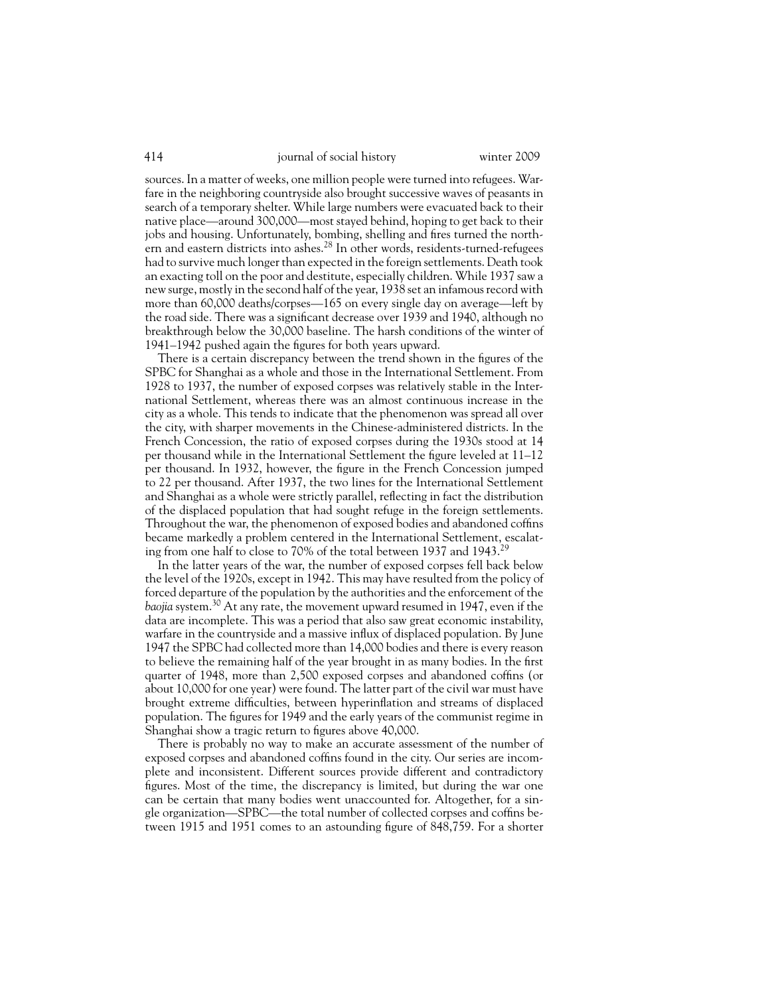sources. In a matter of weeks, one million people were turned into refugees. Warfare in the neighboring countryside also brought successive waves of peasants in search of a temporary shelter. While large numbers were evacuated back to their native place—around 300,000—most stayed behind, hoping to get back to their jobs and housing. Unfortunately, bombing, shelling and fires turned the north- $\epsilon$ ern and eastern districts into ashes.<sup>28</sup> In other words, residents-turned-refugees had to survive much longer than expected in the foreign settlements. Death took an exacting toll on the poor and destitute, especially children. While 1937 saw a new surge, mostly in the second half of the year, 1938 set an infamous record with more than 60,000 deaths/corpses—165 on every single day on average—left by the road side. There was a significant decrease over 1939 and 1940, although no breakthrough below the 30,000 baseline. The harsh conditions of the winter of 1941–1942 pushed again the figures for both years upward.

There is a certain discrepancy between the trend shown in the figures of the SPBC for Shanghai as a whole and those in the International Settlement. From 1928 to 1937, the number of exposed corpses was relatively stable in the International Settlement, whereas there was an almost continuous increase in the city as a whole. This tends to indicate that the phenomenon was spread all over the city, with sharper movements in the Chinese-administered districts. In the French Concession, the ratio of exposed corpses during the 1930s stood at 14 per thousand while in the International Settlement the figure leveled at 11–12 per thousand. In 1932, however, the figure in the French Concession jumped to 22 per thousand. After 1937, the two lines for the International Settlement and Shanghai as a whole were strictly parallel, reflecting in fact the distribution of the displaced population that had sought refuge in the foreign settlements. Throughout the war, the phenomenon of exposed bodies and abandoned coffins became markedly a problem centered in the International Settlement, escalating from one half to close to 70% of the total between 1937 and 1943.<sup>29</sup>

In the latter years of the war, the number of exposed corpses fell back below the level of the 1920s, except in 1942. This may have resulted from the policy of forced departure of the population by the authorities and the enforcement of the *baojia* system.<sup>30</sup> At any rate, the movement upward resumed in 1947, even if the data are incomplete. This was a period that also saw great economic instability, warfare in the countryside and a massive influx of displaced population. By June 1947 the SPBC had collected more than 14,000 bodies and there is every reason to believe the remaining half of the year brought in as many bodies. In the first quarter of 1948, more than 2,500 exposed corpses and abandoned coffins (or about 10,000 for one year) were found. The latter part of the civil war must have brought extreme difficulties, between hyperinflation and streams of displaced population. The figures for 1949 and the early years of the communist regime in Shanghai show a tragic return to figures above 40,000.

There is probably no way to make an accurate assessment of the number of exposed corpses and abandoned coffins found in the city. Our series are incomplete and inconsistent. Different sources provide different and contradictory figures. Most of the time, the discrepancy is limited, but during the war one can be certain that many bodies went unaccounted for. Altogether, for a single organization—SPBC—the total number of collected corpses and coffins between 1915 and 1951 comes to an astounding figure of 848,759. For a shorter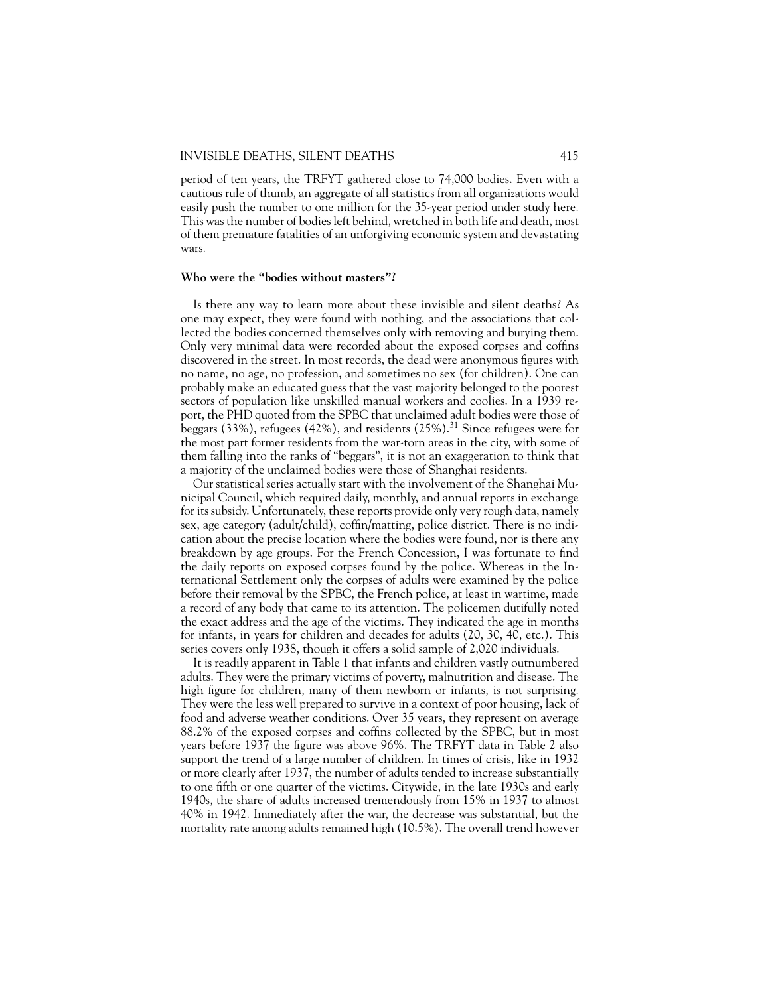period of ten years, the TRFYT gathered close to 74,000 bodies. Even with a cautious rule of thumb, an aggregate of all statistics from all organizations would easily push the number to one million for the 35-year period under study here. This was the number of bodies left behind, wretched in both life and death, most of them premature fatalities of an unforgiving economic system and devastating wars.

## **Who were the "bodies without masters"?**

Is there any way to learn more about these invisible and silent deaths? As one may expect, they were found with nothing, and the associations that collected the bodies concerned themselves only with removing and burying them. Only very minimal data were recorded about the exposed corpses and coffins discovered in the street. In most records, the dead were anonymous figures with no name, no age, no profession, and sometimes no sex (for children). One can probably make an educated guess that the vast majority belonged to the poorest sectors of population like unskilled manual workers and coolies. In a 1939 report, the PHD quoted from the SPBC that unclaimed adult bodies were those of beggars (33%), refugees (42%), and residents  $(25\%)$ <sup>31</sup> Since refugees were for the most part former residents from the war-torn areas in the city, with some of them falling into the ranks of "beggars", it is not an exaggeration to think that a majority of the unclaimed bodies were those of Shanghai residents.

Our statistical series actually start with the involvement of the Shanghai Municipal Council, which required daily, monthly, and annual reports in exchange for its subsidy. Unfortunately, these reports provide only very rough data, namely sex, age category (adult/child), coffin/matting, police district. There is no indication about the precise location where the bodies were found, nor is there any breakdown by age groups. For the French Concession, I was fortunate to find the daily reports on exposed corpses found by the police. Whereas in the International Settlement only the corpses of adults were examined by the police before their removal by the SPBC, the French police, at least in wartime, made a record of any body that came to its attention. The policemen dutifully noted the exact address and the age of the victims. They indicated the age in months for infants, in years for children and decades for adults (20, 30, 40, etc.). This series covers only 1938, though it offers a solid sample of 2,020 individuals.

It is readily apparent in Table 1 that infants and children vastly outnumbered adults. They were the primary victims of poverty, malnutrition and disease. The high figure for children, many of them newborn or infants, is not surprising. They were the less well prepared to survive in a context of poor housing, lack of food and adverse weather conditions. Over 35 years, they represent on average 88.2% of the exposed corpses and coffins collected by the SPBC, but in most years before 1937 the figure was above 96%. The TRFYT data in Table 2 also support the trend of a large number of children. In times of crisis, like in 1932 or more clearly after 1937, the number of adults tended to increase substantially to one fifth or one quarter of the victims. Citywide, in the late 1930s and early 1940s, the share of adults increased tremendously from 15% in 1937 to almost 40% in 1942. Immediately after the war, the decrease was substantial, but the mortality rate among adults remained high (10.5%). The overall trend however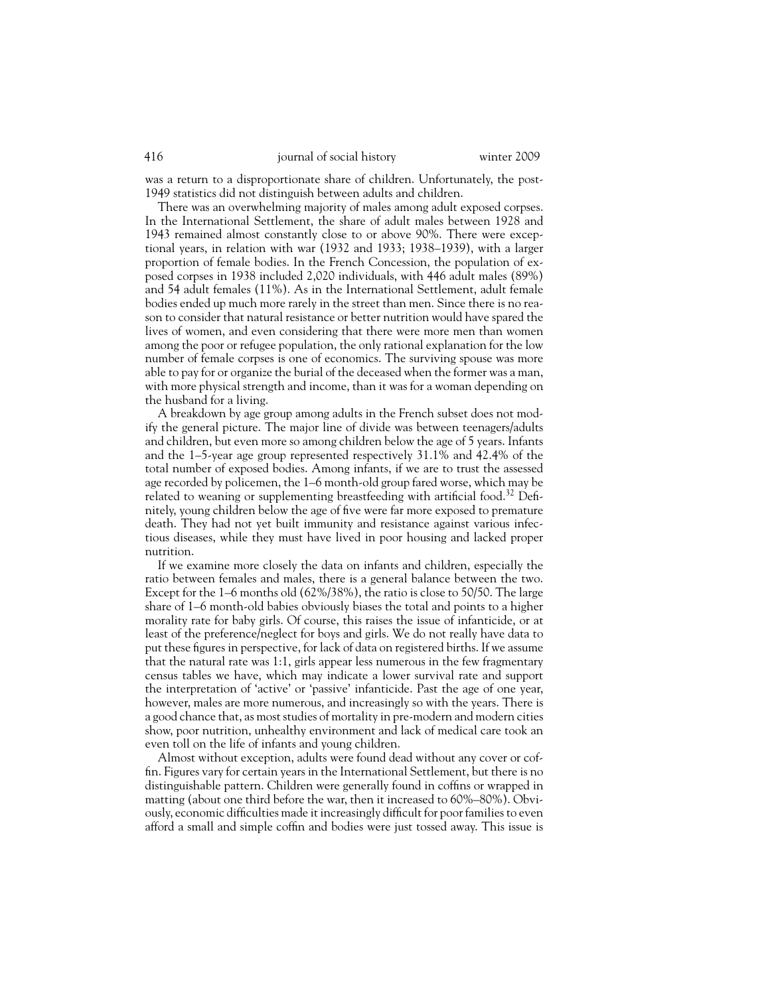was a return to a disproportionate share of children. Unfortunately, the post-1949 statistics did not distinguish between adults and children.

There was an overwhelming majority of males among adult exposed corpses. In the International Settlement, the share of adult males between 1928 and 1943 remained almost constantly close to or above 90%. There were exceptional years, in relation with war (1932 and 1933; 1938–1939), with a larger proportion of female bodies. In the French Concession, the population of exposed corpses in 1938 included 2,020 individuals, with 446 adult males (89%) and 54 adult females (11%). As in the International Settlement, adult female bodies ended up much more rarely in the street than men. Since there is no reason to consider that natural resistance or better nutrition would have spared the lives of women, and even considering that there were more men than women among the poor or refugee population, the only rational explanation for the low number of female corpses is one of economics. The surviving spouse was more able to pay for or organize the burial of the deceased when the former was a man, with more physical strength and income, than it was for a woman depending on the husband for a living.

A breakdown by age group among adults in the French subset does not modify the general picture. The major line of divide was between teenagers/adults and children, but even more so among children below the age of 5 years. Infants and the 1–5-year age group represented respectively 31.1% and 42.4% of the total number of exposed bodies. Among infants, if we are to trust the assessed age recorded by policemen, the 1–6 month-old group fared worse, which may be related to weaning or supplementing breastfeeding with artificial food.<sup>32</sup> Definitely, young children below the age of five were far more exposed to premature death. They had not yet built immunity and resistance against various infectious diseases, while they must have lived in poor housing and lacked proper nutrition.

If we examine more closely the data on infants and children, especially the ratio between females and males, there is a general balance between the two. Except for the 1–6 months old (62%/38%), the ratio is close to 50/50. The large share of 1–6 month-old babies obviously biases the total and points to a higher morality rate for baby girls. Of course, this raises the issue of infanticide, or at least of the preference/neglect for boys and girls. We do not really have data to put these figures in perspective, for lack of data on registered births. If we assume that the natural rate was 1:1, girls appear less numerous in the few fragmentary census tables we have, which may indicate a lower survival rate and support the interpretation of 'active' or 'passive' infanticide. Past the age of one year, however, males are more numerous, and increasingly so with the years. There is a good chance that, as most studies of mortality in pre-modern and modern cities show, poor nutrition, unhealthy environment and lack of medical care took an even toll on the life of infants and young children.

Almost without exception, adults were found dead without any cover or coffin. Figures vary for certain years in the International Settlement, but there is no distinguishable pattern. Children were generally found in coffins or wrapped in matting (about one third before the war, then it increased to 60%–80%). Obviously, economic difficulties made it increasingly difficult for poor families to even afford a small and simple coffin and bodies were just tossed away. This issue is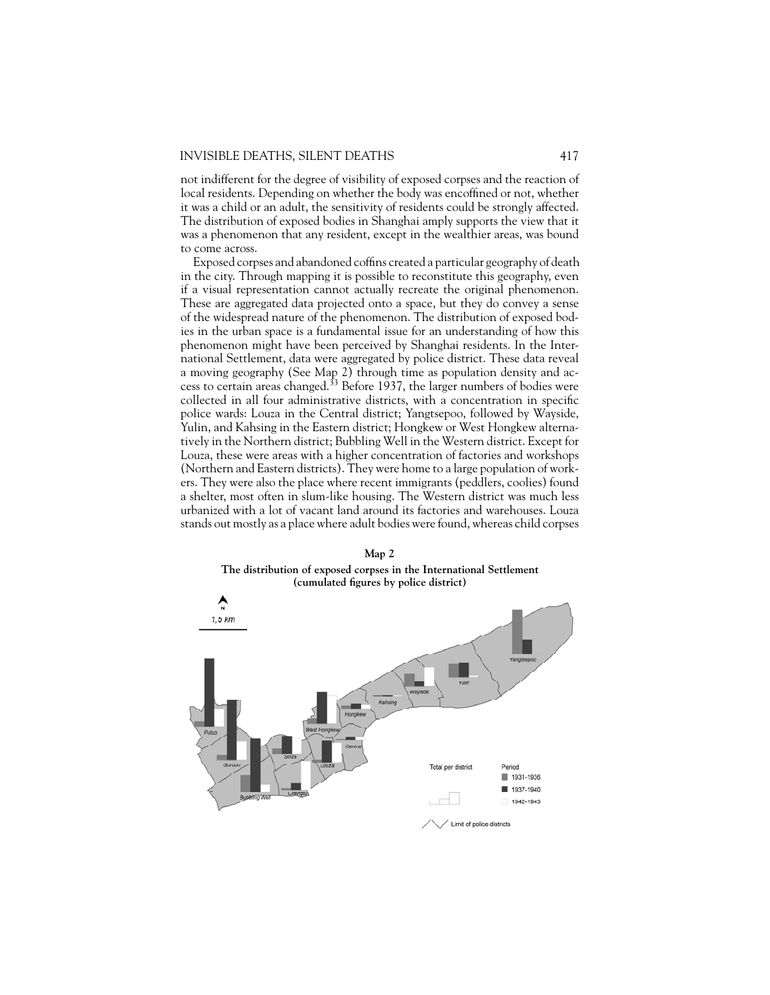not indifferent for the degree of visibility of exposed corpses and the reaction of local residents. Depending on whether the body was encoffined or not, whether it was a child or an adult, the sensitivity of residents could be strongly affected. The distribution of exposed bodies in Shanghai amply supports the view that it was a phenomenon that any resident, except in the wealthier areas, was bound to come across.

Exposed corpses and abandoned coffins created a particular geography of death in the city. Through mapping it is possible to reconstitute this geography, even if a visual representation cannot actually recreate the original phenomenon. These are aggregated data projected onto a space, but they do convey a sense of the widespread nature of the phenomenon. The distribution of exposed bodies in the urban space is a fundamental issue for an understanding of how this phenomenon might have been perceived by Shanghai residents. In the International Settlement, data were aggregated by police district. These data reveal a moving geography (See Map 2) through time as population density and access to certain areas changed.<sup>33</sup> Before 1937, the larger numbers of bodies were collected in all four administrative districts, with a concentration in specific police wards: Louza in the Central district; Yangtsepoo, followed by Wayside, Yulin, and Kahsing in the Eastern district; Hongkew or West Hongkew alternatively in the Northern district; Bubbling Well in the Western district. Except for Louza, these were areas with a higher concentration of factories and workshops (Northern and Eastern districts). They were home to a large population of workers. They were also the place where recent immigrants (peddlers, coolies) found a shelter, most often in slum-like housing. The Western district was much less urbanized with a lot of vacant land around its factories and warehouses. Louza stands out mostly as a place where adult bodies were found, whereas child corpses

**Map 2 The distribution of exposed corpses in the International Settlement (cumulated figures by police district)**

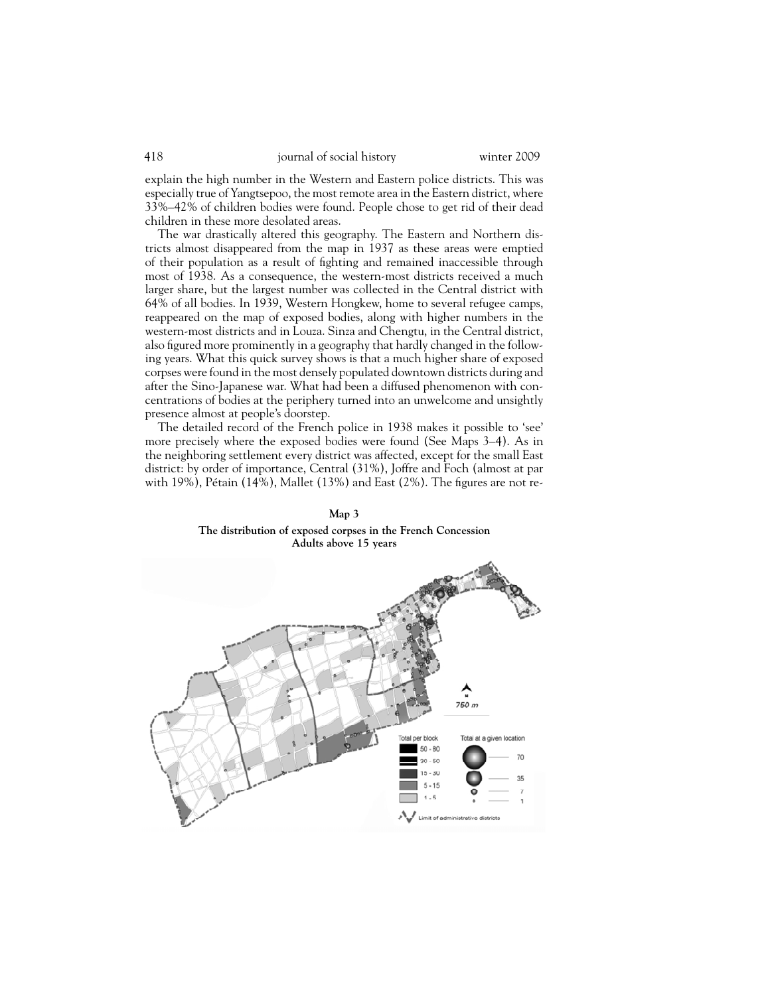explain the high number in the Western and Eastern police districts. This was especially true of Yangtsepoo, the most remote area in the Eastern district, where 33%–42% of children bodies were found. People chose to get rid of their dead children in these more desolated areas.

The war drastically altered this geography. The Eastern and Northern districts almost disappeared from the map in 1937 as these areas were emptied of their population as a result of fighting and remained inaccessible through most of 1938. As a consequence, the western-most districts received a much larger share, but the largest number was collected in the Central district with 64% of all bodies. In 1939, Western Hongkew, home to several refugee camps, reappeared on the map of exposed bodies, along with higher numbers in the western-most districts and in Louza. Sinza and Chengtu, in the Central district, also figured more prominently in a geography that hardly changed in the following years. What this quick survey shows is that a much higher share of exposed corpses were found in the most densely populated downtown districts during and after the Sino-Japanese war. What had been a diffused phenomenon with concentrations of bodies at the periphery turned into an unwelcome and unsightly presence almost at people's doorstep.

The detailed record of the French police in 1938 makes it possible to 'see' more precisely where the exposed bodies were found (See Maps 3–4). As in the neighboring settlement every district was affected, except for the small East district: by order of importance, Central (31%), Joffre and Foch (almost at par with 19%), Pétain (14%), Mallet (13%) and East (2%). The figures are not re-



**Map 3 The distribution of exposed corpses in the French Concession**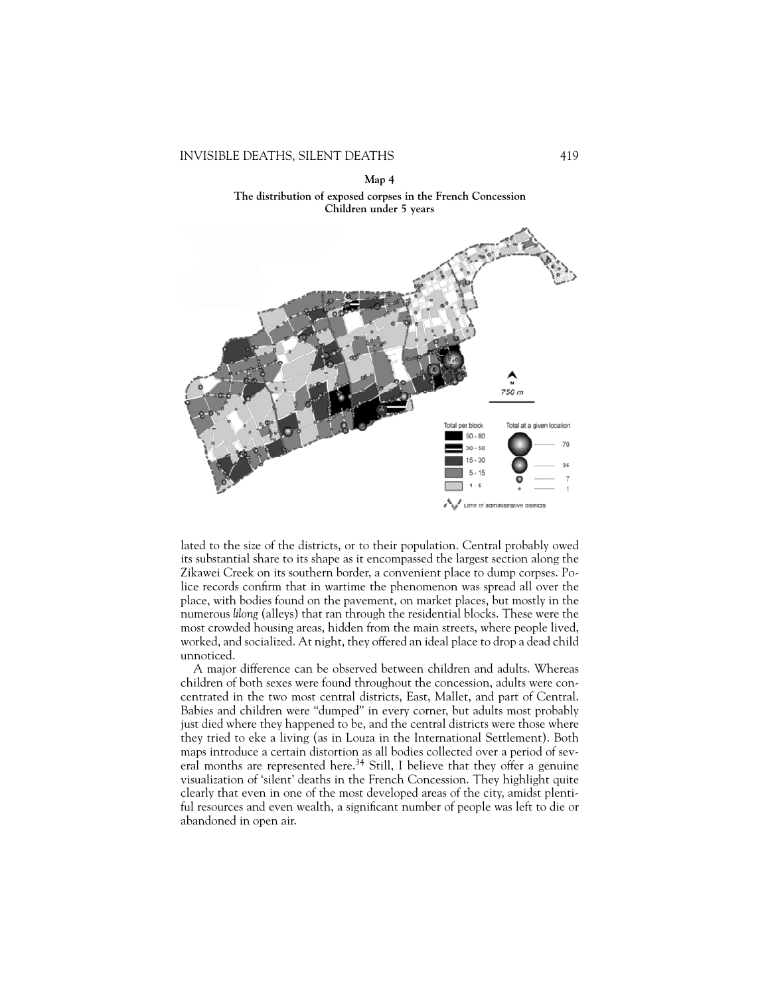





lated to the size of the districts, or to their population. Central probably owed its substantial share to its shape as it encompassed the largest section along the Zikawei Creek on its southern border, a convenient place to dump corpses. Police records confirm that in wartime the phenomenon was spread all over the place, with bodies found on the pavement, on market places, but mostly in the numerous *lilong* (alleys) that ran through the residential blocks. These were the most crowded housing areas, hidden from the main streets, where people lived, worked, and socialized. At night, they offered an ideal place to drop a dead child unnoticed.

A major difference can be observed between children and adults. Whereas children of both sexes were found throughout the concession, adults were concentrated in the two most central districts, East, Mallet, and part of Central. Babies and children were "dumped" in every corner, but adults most probably just died where they happened to be, and the central districts were those where they tried to eke a living (as in Louza in the International Settlement). Both maps introduce a certain distortion as all bodies collected over a period of several months are represented here.<sup>34</sup> Still, I believe that they offer a genuine visualization of 'silent' deaths in the French Concession. They highlight quite clearly that even in one of the most developed areas of the city, amidst plentiful resources and even wealth, a significant number of people was left to die or abandoned in open air.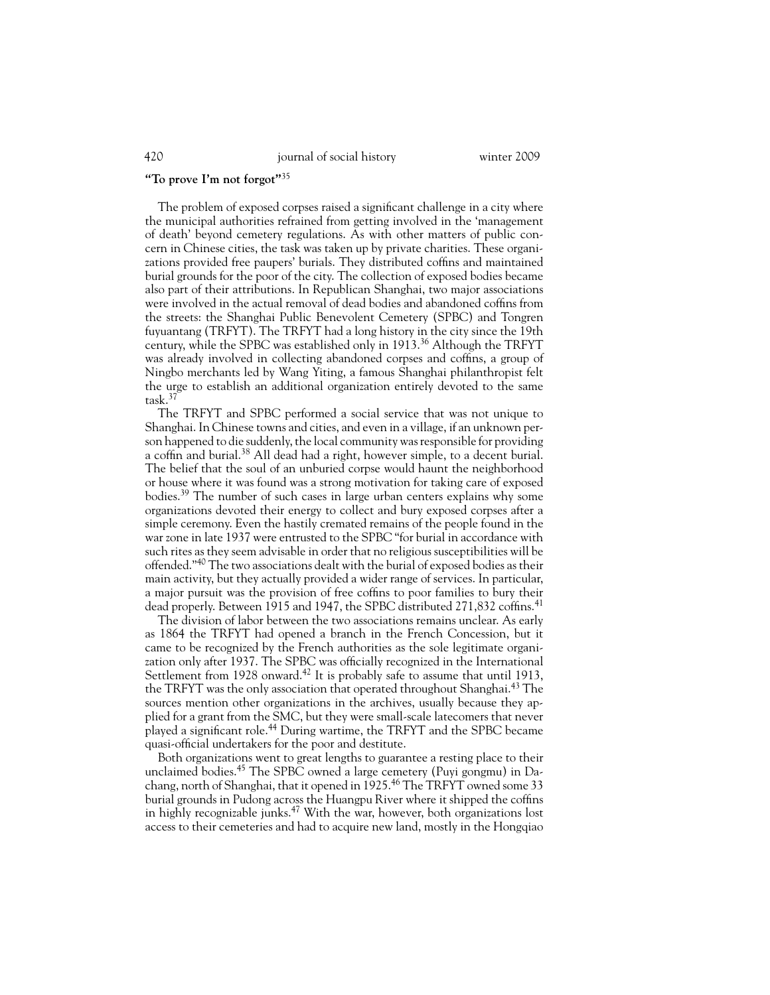# **"To prove I'm not forgot"**<sup>35</sup>

The problem of exposed corpses raised a significant challenge in a city where the municipal authorities refrained from getting involved in the 'management of death' beyond cemetery regulations. As with other matters of public concern in Chinese cities, the task was taken up by private charities. These organizations provided free paupers' burials. They distributed coffins and maintained burial grounds for the poor of the city. The collection of exposed bodies became also part of their attributions. In Republican Shanghai, two major associations were involved in the actual removal of dead bodies and abandoned coffins from the streets: the Shanghai Public Benevolent Cemetery (SPBC) and Tongren fuyuantang (TRFYT). The TRFYT had a long history in the city since the 19th century, while the SPBC was established only in 1913.<sup>36</sup> Although the TRFYT was already involved in collecting abandoned corpses and coffins, a group of Ningbo merchants led by Wang Yiting, a famous Shanghai philanthropist felt the urge to establish an additional organization entirely devoted to the same task.<sup>37</sup>

The TRFYT and SPBC performed a social service that was not unique to Shanghai. In Chinese towns and cities, and even in a village, if an unknown person happened to die suddenly, the local community was responsible for providing a coffin and burial.<sup>38</sup> All dead had a right, however simple, to a decent burial. The belief that the soul of an unburied corpse would haunt the neighborhood or house where it was found was a strong motivation for taking care of exposed bodies.<sup>39</sup> The number of such cases in large urban centers explains why some organizations devoted their energy to collect and bury exposed corpses after a simple ceremony. Even the hastily cremated remains of the people found in the war zone in late 1937 were entrusted to the SPBC "for burial in accordance with such rites as they seem advisable in order that no religious susceptibilities will be offended."<sup>40</sup> The two associations dealt with the burial of exposed bodies as their main activity, but they actually provided a wider range of services. In particular, a major pursuit was the provision of free coffins to poor families to bury their dead properly. Between 1915 and 1947, the SPBC distributed 271,832 coffins.<sup>41</sup>

The division of labor between the two associations remains unclear. As early as 1864 the TRFYT had opened a branch in the French Concession, but it came to be recognized by the French authorities as the sole legitimate organization only after 1937. The SPBC was officially recognized in the International Settlement from 1928 onward.<sup>42</sup> It is probably safe to assume that until 1913, the TRFYT was the only association that operated throughout Shanghai.<sup>43</sup> The sources mention other organizations in the archives, usually because they applied for a grant from the SMC, but they were small-scale latecomers that never played a significant role.<sup>44</sup> During wartime, the TRFYT and the SPBC became quasi-official undertakers for the poor and destitute.

Both organizations went to great lengths to guarantee a resting place to their unclaimed bodies.<sup>45</sup> The SPBC owned a large cemetery (Puyi gongmu) in Dachang, north of Shanghai, that it opened in 1925.<sup>46</sup> The TRFYT owned some 33 burial grounds in Pudong across the Huangpu River where it shipped the coffins in highly recognizable junks.<sup>47</sup> With the war, however, both organizations lost access to their cemeteries and had to acquire new land, mostly in the Hongqiao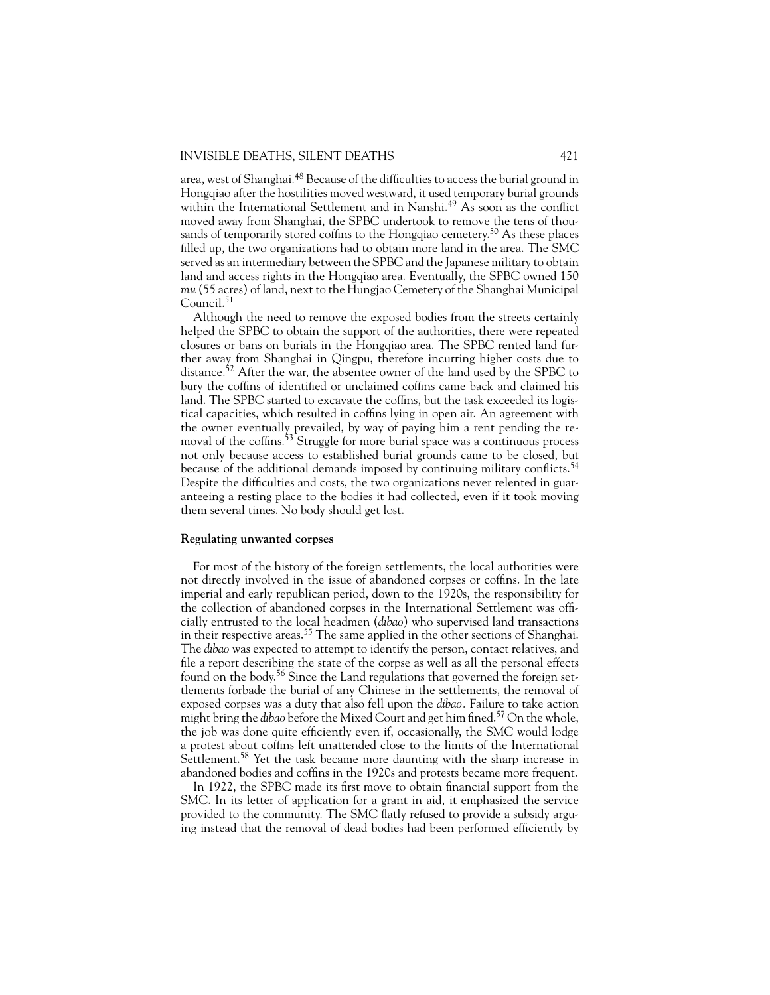area, west of Shanghai.<sup>48</sup> Because of the difficulties to access the burial ground in Hongqiao after the hostilities moved westward, it used temporary burial grounds within the International Settlement and in Nanshi.<sup>49</sup> As soon as the conflict moved away from Shanghai, the SPBC undertook to remove the tens of thousands of temporarily stored coffins to the Hongqiao cemetery.<sup>50</sup> As these places filled up, the two organizations had to obtain more land in the area. The SMC served as an intermediary between the SPBC and the Japanese military to obtain land and access rights in the Hongqiao area. Eventually, the SPBC owned 150 *mu* (55 acres) of land, next to the Hungjao Cemetery of the Shanghai Municipal Council.<sup>51</sup>

Although the need to remove the exposed bodies from the streets certainly helped the SPBC to obtain the support of the authorities, there were repeated closures or bans on burials in the Hongqiao area. The SPBC rented land further away from Shanghai in Qingpu, therefore incurring higher costs due to distance.<sup>52</sup> After the war, the absentee owner of the land used by the SPBC to bury the coffins of identified or unclaimed coffins came back and claimed his land. The SPBC started to excavate the coffins, but the task exceeded its logistical capacities, which resulted in coffins lying in open air. An agreement with the owner eventually prevailed, by way of paying him a rent pending the removal of the coffins.<sup>53</sup> Struggle for more burial space was a continuous process not only because access to established burial grounds came to be closed, but because of the additional demands imposed by continuing military conflicts.<sup>54</sup> Despite the difficulties and costs, the two organizations never relented in guaranteeing a resting place to the bodies it had collected, even if it took moving them several times. No body should get lost.

## **Regulating unwanted corpses**

For most of the history of the foreign settlements, the local authorities were not directly involved in the issue of abandoned corpses or coffins. In the late imperial and early republican period, down to the 1920s, the responsibility for the collection of abandoned corpses in the International Settlement was officially entrusted to the local headmen (*dibao*) who supervised land transactions in their respective areas.<sup>55</sup> The same applied in the other sections of Shanghai. The *dibao* was expected to attempt to identify the person, contact relatives, and file a report describing the state of the corpse as well as all the personal effects found on the body.<sup>56</sup> Since the Land regulations that governed the foreign settlements forbade the burial of any Chinese in the settlements, the removal of exposed corpses was a duty that also fell upon the *dibao.* Failure to take action might bring the *dibao* before the Mixed Court and get him fined.<sup>57</sup> On the whole, the job was done quite efficiently even if, occasionally, the SMC would lodge a protest about coffins left unattended close to the limits of the International Settlement.<sup>58</sup> Yet the task became more daunting with the sharp increase in abandoned bodies and coffins in the 1920s and protests became more frequent.

In 1922, the SPBC made its first move to obtain financial support from the SMC. In its letter of application for a grant in aid, it emphasized the service provided to the community. The SMC flatly refused to provide a subsidy arguing instead that the removal of dead bodies had been performed efficiently by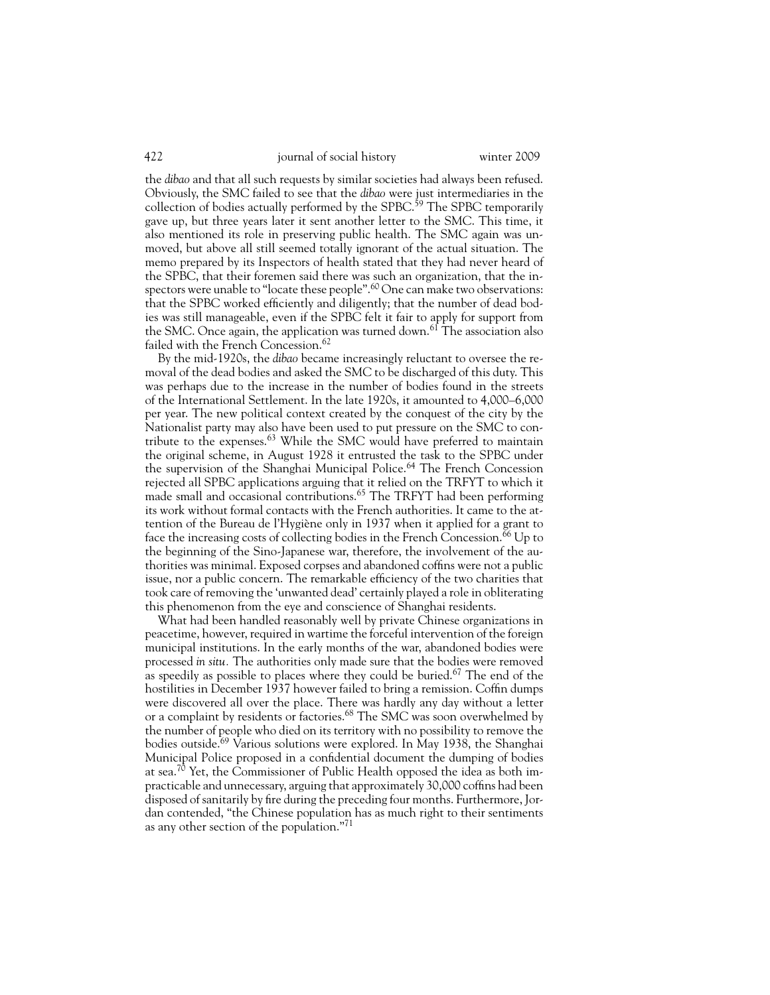the *dibao* and that all such requests by similar societies had always been refused. Obviously, the SMC failed to see that the *dibao* were just intermediaries in the collection of bodies actually performed by the SPBC.<sup>59</sup> The SPBC temporarily gave up, but three years later it sent another letter to the SMC. This time, it also mentioned its role in preserving public health. The SMC again was unmoved, but above all still seemed totally ignorant of the actual situation. The memo prepared by its Inspectors of health stated that they had never heard of the SPBC, that their foremen said there was such an organization, that the inspectors were unable to "locate these people". $60$  One can make two observations: that the SPBC worked efficiently and diligently; that the number of dead bodies was still manageable, even if the SPBC felt it fair to apply for support from the SMC. Once again, the application was turned down.<sup>61</sup> The association also failed with the French Concession.<sup>62</sup>

By the mid-1920s, the *dibao* became increasingly reluctant to oversee the removal of the dead bodies and asked the SMC to be discharged of this duty. This was perhaps due to the increase in the number of bodies found in the streets of the International Settlement. In the late 1920s, it amounted to 4,000–6,000 per year. The new political context created by the conquest of the city by the Nationalist party may also have been used to put pressure on the SMC to contribute to the expenses.<sup>63</sup> While the SMC would have preferred to maintain the original scheme, in August 1928 it entrusted the task to the SPBC under the supervision of the Shanghai Municipal Police.<sup>64</sup> The French Concession rejected all SPBC applications arguing that it relied on the TRFYT to which it made small and occasional contributions.<sup>65</sup> The TRFYT had been performing its work without formal contacts with the French authorities. It came to the attention of the Bureau de l'Hygiène only in 1937 when it applied for a grant to face the increasing costs of collecting bodies in the French Concession.  $^{66}$  Up to the beginning of the Sino-Japanese war, therefore, the involvement of the authorities was minimal. Exposed corpses and abandoned coffins were not a public issue, nor a public concern. The remarkable efficiency of the two charities that took care of removing the 'unwanted dead' certainly played a role in obliterating this phenomenon from the eye and conscience of Shanghai residents.

What had been handled reasonably well by private Chinese organizations in peacetime, however, required in wartime the forceful intervention of the foreign municipal institutions. In the early months of the war, abandoned bodies were processed *in situ.* The authorities only made sure that the bodies were removed as speedily as possible to places where they could be buried.<sup>67</sup> The end of the hostilities in December 1937 however failed to bring a remission. Coffin dumps were discovered all over the place. There was hardly any day without a letter or a complaint by residents or factories.<sup>68</sup> The SMC was soon overwhelmed by the number of people who died on its territory with no possibility to remove the bodies outside.<sup>69</sup> Various solutions were explored. In May 1938, the Shanghai Municipal Police proposed in a confidential document the dumping of bodies at sea.<sup>70</sup> Yet, the Commissioner of Public Health opposed the idea as both impracticable and unnecessary, arguing that approximately 30,000 coffins had been disposed of sanitarily by fire during the preceding four months. Furthermore, Jordan contended, "the Chinese population has as much right to their sentiments as any other section of the population. $"^{71}$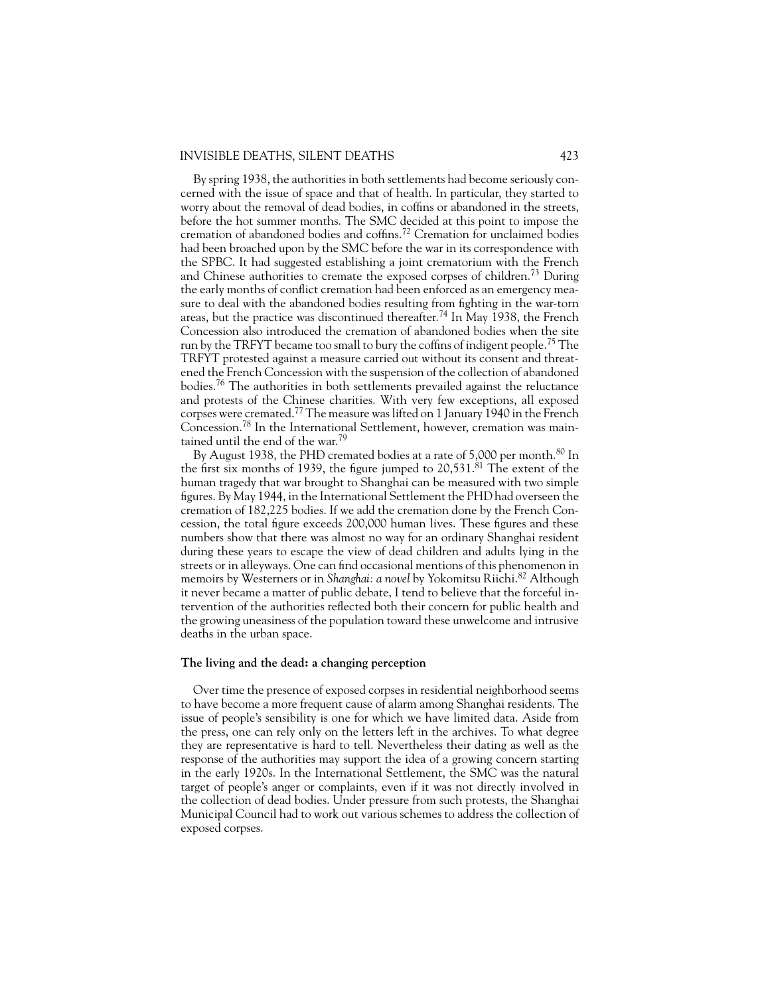By spring 1938, the authorities in both settlements had become seriously concerned with the issue of space and that of health. In particular, they started to worry about the removal of dead bodies, in coffins or abandoned in the streets, before the hot summer months. The SMC decided at this point to impose the cremation of abandoned bodies and coffins.<sup>72</sup> Cremation for unclaimed bodies had been broached upon by the SMC before the war in its correspondence with the SPBC. It had suggested establishing a joint crematorium with the French and Chinese authorities to cremate the exposed corpses of children.<sup>73</sup> During the early months of conflict cremation had been enforced as an emergency measure to deal with the abandoned bodies resulting from fighting in the war-torn areas, but the practice was discontinued thereafter.<sup>74</sup> In May 1938, the French Concession also introduced the cremation of abandoned bodies when the site run by the TRFYT became too small to bury the coffins of indigent people.<sup>75</sup> The TRFYT protested against a measure carried out without its consent and threatened the French Concession with the suspension of the collection of abandoned bodies.<sup>76</sup> The authorities in both settlements prevailed against the reluctance and protests of the Chinese charities. With very few exceptions, all exposed corpses were cremated.<sup>77</sup> The measure was lifted on 1 January 1940 in the French Concession.<sup>78</sup> In the International Settlement, however, cremation was maintained until the end of the war.<sup>79</sup>

By August 1938, the PHD cremated bodies at a rate of 5,000 per month.<sup>80</sup> In the first six months of 1939, the figure jumped to  $20,531$ .<sup>81</sup> The extent of the human tragedy that war brought to Shanghai can be measured with two simple figures. By May 1944, in the International Settlement the PHD had overseen the cremation of 182,225 bodies. If we add the cremation done by the French Concession, the total figure exceeds 200,000 human lives. These figures and these numbers show that there was almost no way for an ordinary Shanghai resident during these years to escape the view of dead children and adults lying in the streets or in alleyways. One can find occasional mentions of this phenomenon in memoirs by Westerners or in *Shanghai: a novel* by Yokomitsu Riichi.<sup>82</sup> Although it never became a matter of public debate, I tend to believe that the forceful intervention of the authorities reflected both their concern for public health and the growing uneasiness of the population toward these unwelcome and intrusive deaths in the urban space.

#### **The living and the dead: a changing perception**

Over time the presence of exposed corpses in residential neighborhood seems to have become a more frequent cause of alarm among Shanghai residents. The issue of people's sensibility is one for which we have limited data. Aside from the press, one can rely only on the letters left in the archives. To what degree they are representative is hard to tell. Nevertheless their dating as well as the response of the authorities may support the idea of a growing concern starting in the early 1920s. In the International Settlement, the SMC was the natural target of people's anger or complaints, even if it was not directly involved in the collection of dead bodies. Under pressure from such protests, the Shanghai Municipal Council had to work out various schemes to address the collection of exposed corpses.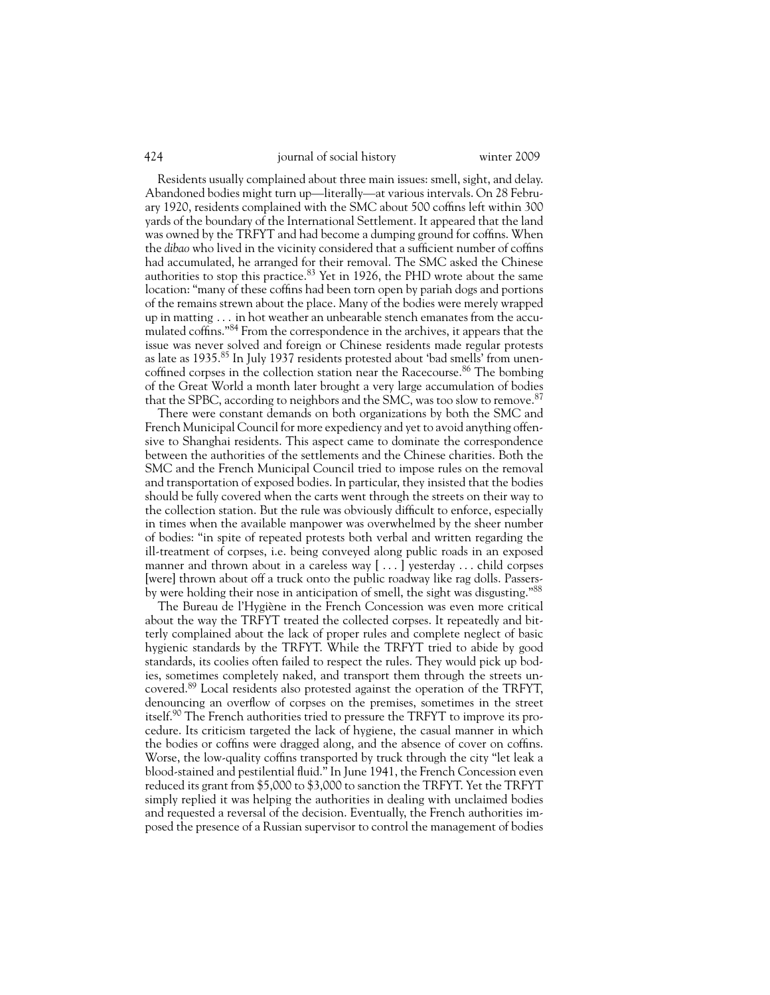Residents usually complained about three main issues: smell, sight, and delay. Abandoned bodies might turn up—literally—at various intervals. On 28 February 1920, residents complained with the SMC about 500 coffins left within 300 yards of the boundary of the International Settlement. It appeared that the land was owned by the TRFYT and had become a dumping ground for coffins. When the *dibao* who lived in the vicinity considered that a sufficient number of coffins had accumulated, he arranged for their removal. The SMC asked the Chinese authorities to stop this practice. $83$  Yet in 1926, the PHD wrote about the same location: "many of these coffins had been torn open by pariah dogs and portions of the remains strewn about the place. Many of the bodies were merely wrapped up in matting : : : in hot weather an unbearable stench emanates from the accumulated coffins."<sup>84</sup> From the correspondence in the archives, it appears that the issue was never solved and foreign or Chinese residents made regular protests as late as 1935.<sup>85</sup> In July 1937 residents protested about 'bad smells' from unencoffined corpses in the collection station near the Racecourse.<sup>86</sup> The bombing of the Great World a month later brought a very large accumulation of bodies that the SPBC, according to neighbors and the SMC, was too slow to remove.<sup>87</sup>

There were constant demands on both organizations by both the SMC and French Municipal Council for more expediency and yet to avoid anything offensive to Shanghai residents. This aspect came to dominate the correspondence between the authorities of the settlements and the Chinese charities. Both the SMC and the French Municipal Council tried to impose rules on the removal and transportation of exposed bodies. In particular, they insisted that the bodies should be fully covered when the carts went through the streets on their way to the collection station. But the rule was obviously difficult to enforce, especially in times when the available manpower was overwhelmed by the sheer number of bodies: "in spite of repeated protests both verbal and written regarding the ill-treatment of corpses, i.e. being conveyed along public roads in an exposed manner and thrown about in a careless way [...] yesterday ... child corpses [were] thrown about off a truck onto the public roadway like rag dolls. Passersby were holding their nose in anticipation of smell, the sight was disgusting."<sup>88</sup>

The Bureau de l'Hygiène in the French Concession was even more critical about the way the TRFYT treated the collected corpses. It repeatedly and bitterly complained about the lack of proper rules and complete neglect of basic hygienic standards by the TRFYT. While the TRFYT tried to abide by good standards, its coolies often failed to respect the rules. They would pick up bodies, sometimes completely naked, and transport them through the streets uncovered.<sup>89</sup> Local residents also protested against the operation of the TRFYT, denouncing an overflow of corpses on the premises, sometimes in the street itself.<sup>90</sup> The French authorities tried to pressure the TRFYT to improve its procedure. Its criticism targeted the lack of hygiene, the casual manner in which the bodies or coffins were dragged along, and the absence of cover on coffins. Worse, the low-quality coffins transported by truck through the city "let leak a blood-stained and pestilential fluid." In June 1941, the French Concession even reduced its grant from \$5,000 to \$3,000 to sanction the TRFYT. Yet the TRFYT simply replied it was helping the authorities in dealing with unclaimed bodies and requested a reversal of the decision. Eventually, the French authorities imposed the presence of a Russian supervisor to control the management of bodies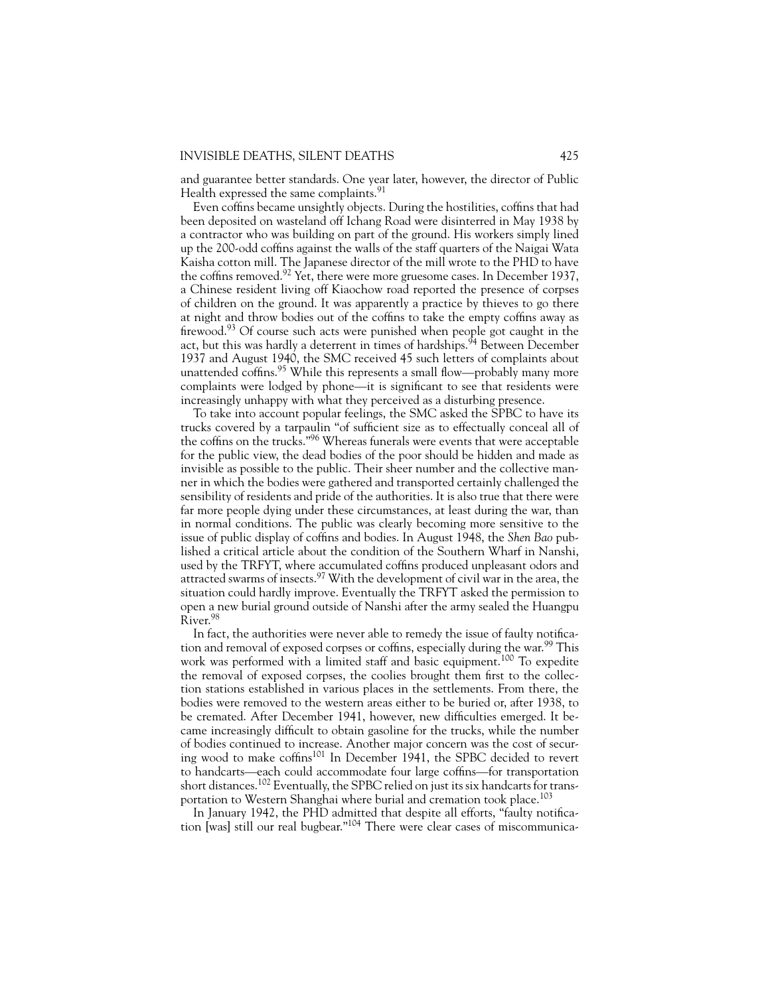and guarantee better standards. One year later, however, the director of Public Health expressed the same complaints.<sup>91</sup>

Even coffins became unsightly objects. During the hostilities, coffins that had been deposited on wasteland off Ichang Road were disinterred in May 1938 by a contractor who was building on part of the ground. His workers simply lined up the 200-odd coffins against the walls of the staff quarters of the Naigai Wata Kaisha cotton mill. The Japanese director of the mill wrote to the PHD to have the coffins removed.<sup>92</sup> Yet, there were more gruesome cases. In December 1937, a Chinese resident living off Kiaochow road reported the presence of corpses of children on the ground. It was apparently a practice by thieves to go there at night and throw bodies out of the coffins to take the empty coffins away as firewood.<sup>93</sup> Of course such acts were punished when people got caught in the act, but this was hardly a deterrent in times of hardships.<sup>94</sup> Between December 1937 and August 1940, the SMC received 45 such letters of complaints about unattended coffins.<sup>95</sup> While this represents a small flow—probably many more complaints were lodged by phone—it is significant to see that residents were increasingly unhappy with what they perceived as a disturbing presence.

To take into account popular feelings, the SMC asked the SPBC to have its trucks covered by a tarpaulin "of sufficient size as to effectually conceal all of the coffins on the trucks."<sup>96</sup> Whereas funerals were events that were acceptable for the public view, the dead bodies of the poor should be hidden and made as invisible as possible to the public. Their sheer number and the collective manner in which the bodies were gathered and transported certainly challenged the sensibility of residents and pride of the authorities. It is also true that there were far more people dying under these circumstances, at least during the war, than in normal conditions. The public was clearly becoming more sensitive to the issue of public display of coffins and bodies. In August 1948, the *Shen Bao* published a critical article about the condition of the Southern Wharf in Nanshi, used by the TRFYT, where accumulated coffins produced unpleasant odors and attracted swarms of insects.<sup>97</sup> With the development of civil war in the area, the situation could hardly improve. Eventually the TRFYT asked the permission to open a new burial ground outside of Nanshi after the army sealed the Huangpu River.<sup>98</sup>

In fact, the authorities were never able to remedy the issue of faulty notification and removal of exposed corpses or coffins, especially during the war.<sup>99</sup> This work was performed with a limited staff and basic equipment.<sup>100</sup> To expedite the removal of exposed corpses, the coolies brought them first to the collection stations established in various places in the settlements. From there, the bodies were removed to the western areas either to be buried or, after 1938, to be cremated. After December 1941, however, new difficulties emerged. It became increasingly difficult to obtain gasoline for the trucks, while the number of bodies continued to increase. Another major concern was the cost of securing wood to make coffins<sup>101</sup> In December 1941, the SPBC decided to revert to handcarts—each could accommodate four large coffins—for transportation short distances.<sup>102</sup> Eventually, the SPBC relied on just its six handcarts for transportation to Western Shanghai where burial and cremation took place.<sup>103</sup>

In January 1942, the PHD admitted that despite all efforts, "faulty notification [was] still our real bugbear."<sup>104</sup> There were clear cases of miscommunica-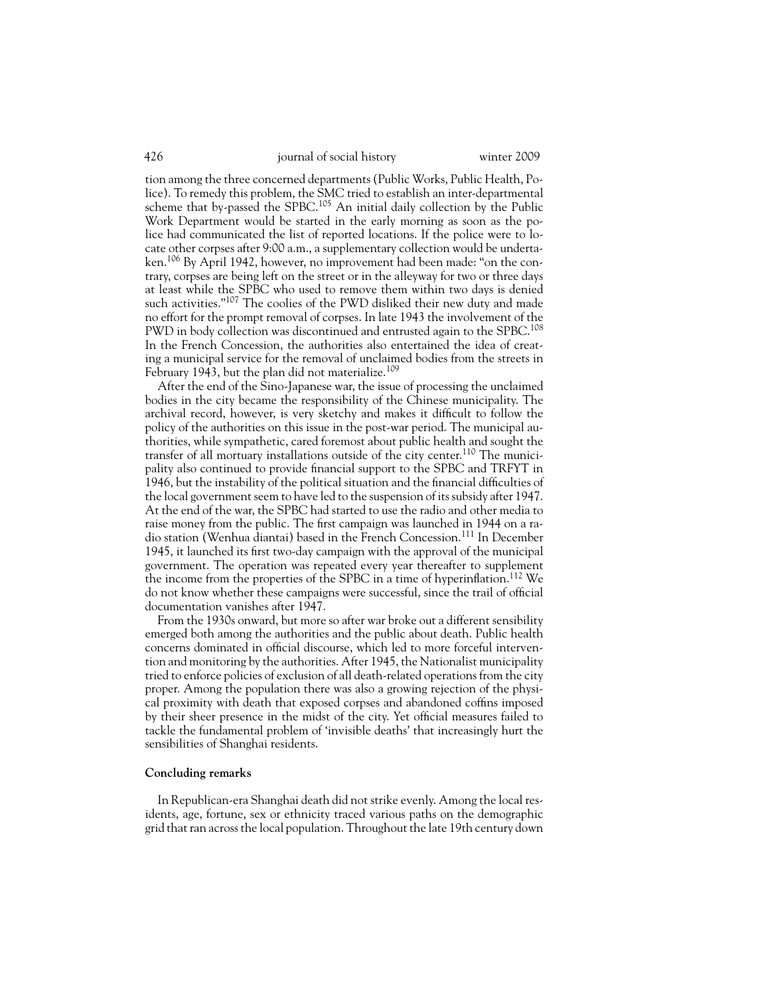tion among the three concerned departments (Public Works, Public Health, Police). To remedy this problem, the SMC tried to establish an inter-departmental scheme that by-passed the SPBC.<sup>105</sup> An initial daily collection by the Public Work Department would be started in the early morning as soon as the police had communicated the list of reported locations. If the police were to locate other corpses after 9:00 a.m., a supplementary collection would be undertaken.<sup>106</sup> By April 1942, however, no improvement had been made: "on the contrary, corpses are being left on the street or in the alleyway for two or three days at least while the SPBC who used to remove them within two days is denied such activities."<sup>107</sup> The coolies of the PWD disliked their new duty and made no effort for the prompt removal of corpses. In late 1943 the involvement of the  $\rm PWD$  in body collection was discontinued and entrusted again to the SPBC.<sup>108</sup> In the French Concession, the authorities also entertained the idea of creating a municipal service for the removal of unclaimed bodies from the streets in February 1943, but the plan did not materialize.<sup>109</sup>

After the end of the Sino-Japanese war, the issue of processing the unclaimed bodies in the city became the responsibility of the Chinese municipality. The archival record, however, is very sketchy and makes it difficult to follow the policy of the authorities on this issue in the post-war period. The municipal authorities, while sympathetic, cared foremost about public health and sought the transfer of all mortuary installations outside of the city center.<sup>110</sup> The municipality also continued to provide financial support to the SPBC and TRFYT in 1946, but the instability of the political situation and the financial difficulties of the local government seem to have led to the suspension of its subsidy after 1947. At the end of the war, the SPBC had started to use the radio and other media to raise money from the public. The first campaign was launched in 1944 on a radio station (Wenhua diantai) based in the French Concession.<sup>111</sup> In December 1945, it launched its first two-day campaign with the approval of the municipal government. The operation was repeated every year thereafter to supplement the income from the properties of the SPBC in a time of hyperinflation.<sup>112</sup> We do not know whether these campaigns were successful, since the trail of official documentation vanishes after 1947.

From the 1930s onward, but more so after war broke out a different sensibility emerged both among the authorities and the public about death. Public health concerns dominated in official discourse, which led to more forceful intervention and monitoring by the authorities. After 1945, the Nationalist municipality tried to enforce policies of exclusion of all death-related operations from the city proper. Among the population there was also a growing rejection of the physical proximity with death that exposed corpses and abandoned coffins imposed by their sheer presence in the midst of the city. Yet official measures failed to tackle the fundamental problem of 'invisible deaths' that increasingly hurt the sensibilities of Shanghai residents.

#### **Concluding remarks**

In Republican-era Shanghai death did not strike evenly. Among the local residents, age, fortune, sex or ethnicity traced various paths on the demographic grid that ran across the local population. Throughout the late 19th century down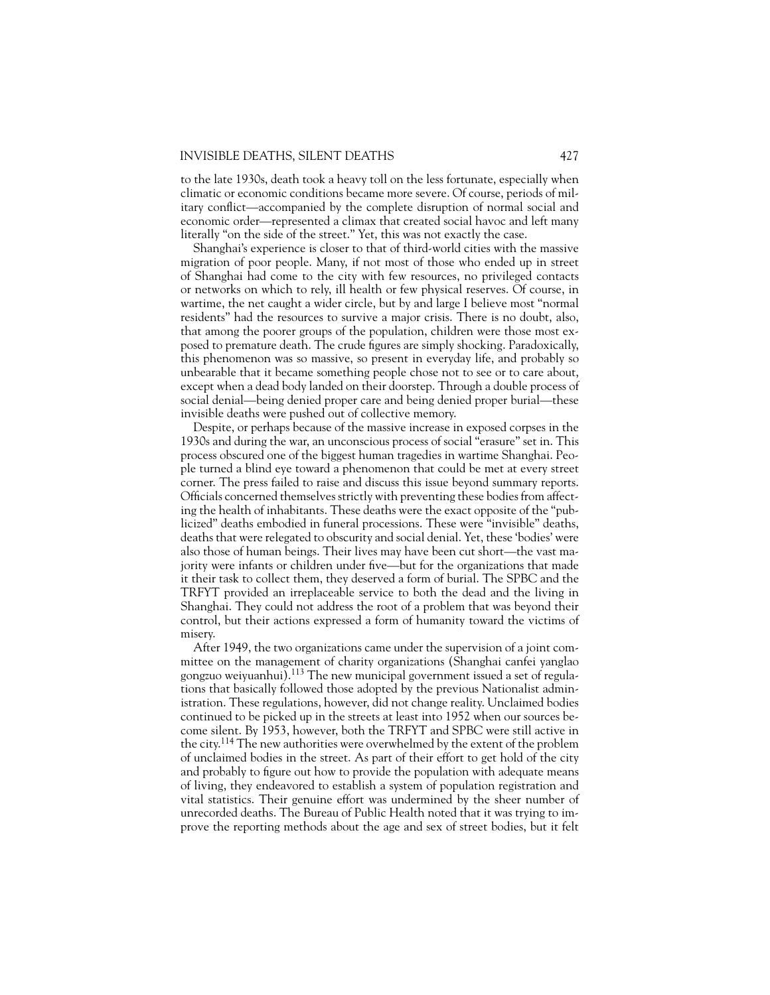to the late 1930s, death took a heavy toll on the less fortunate, especially when climatic or economic conditions became more severe. Of course, periods of military conflict—accompanied by the complete disruption of normal social and economic order—represented a climax that created social havoc and left many literally "on the side of the street." Yet, this was not exactly the case.

Shanghai's experience is closer to that of third-world cities with the massive migration of poor people. Many, if not most of those who ended up in street of Shanghai had come to the city with few resources, no privileged contacts or networks on which to rely, ill health or few physical reserves. Of course, in wartime, the net caught a wider circle, but by and large I believe most "normal residents" had the resources to survive a major crisis. There is no doubt, also, that among the poorer groups of the population, children were those most exposed to premature death. The crude figures are simply shocking. Paradoxically, this phenomenon was so massive, so present in everyday life, and probably so unbearable that it became something people chose not to see or to care about, except when a dead body landed on their doorstep. Through a double process of social denial—being denied proper care and being denied proper burial—these invisible deaths were pushed out of collective memory.

Despite, or perhaps because of the massive increase in exposed corpses in the 1930s and during the war, an unconscious process of social "erasure" set in. This process obscured one of the biggest human tragedies in wartime Shanghai. People turned a blind eye toward a phenomenon that could be met at every street corner. The press failed to raise and discuss this issue beyond summary reports. Officials concerned themselves strictly with preventing these bodies from affecting the health of inhabitants. These deaths were the exact opposite of the "publicized" deaths embodied in funeral processions. These were "invisible" deaths, deaths that were relegated to obscurity and social denial. Yet, these 'bodies' were also those of human beings. Their lives may have been cut short—the vast majority were infants or children under five—but for the organizations that made it their task to collect them, they deserved a form of burial. The SPBC and the TRFYT provided an irreplaceable service to both the dead and the living in Shanghai. They could not address the root of a problem that was beyond their control, but their actions expressed a form of humanity toward the victims of misery.

After 1949, the two organizations came under the supervision of a joint committee on the management of charity organizations (Shanghai canfei yanglao gongzuo weiyuanhui).<sup>113</sup> The new municipal government issued a set of regulations that basically followed those adopted by the previous Nationalist administration. These regulations, however, did not change reality. Unclaimed bodies continued to be picked up in the streets at least into 1952 when our sources become silent. By 1953, however, both the TRFYT and SPBC were still active in the city.<sup>114</sup> The new authorities were overwhelmed by the extent of the problem of unclaimed bodies in the street. As part of their effort to get hold of the city and probably to figure out how to provide the population with adequate means of living, they endeavored to establish a system of population registration and vital statistics. Their genuine effort was undermined by the sheer number of unrecorded deaths. The Bureau of Public Health noted that it was trying to improve the reporting methods about the age and sex of street bodies, but it felt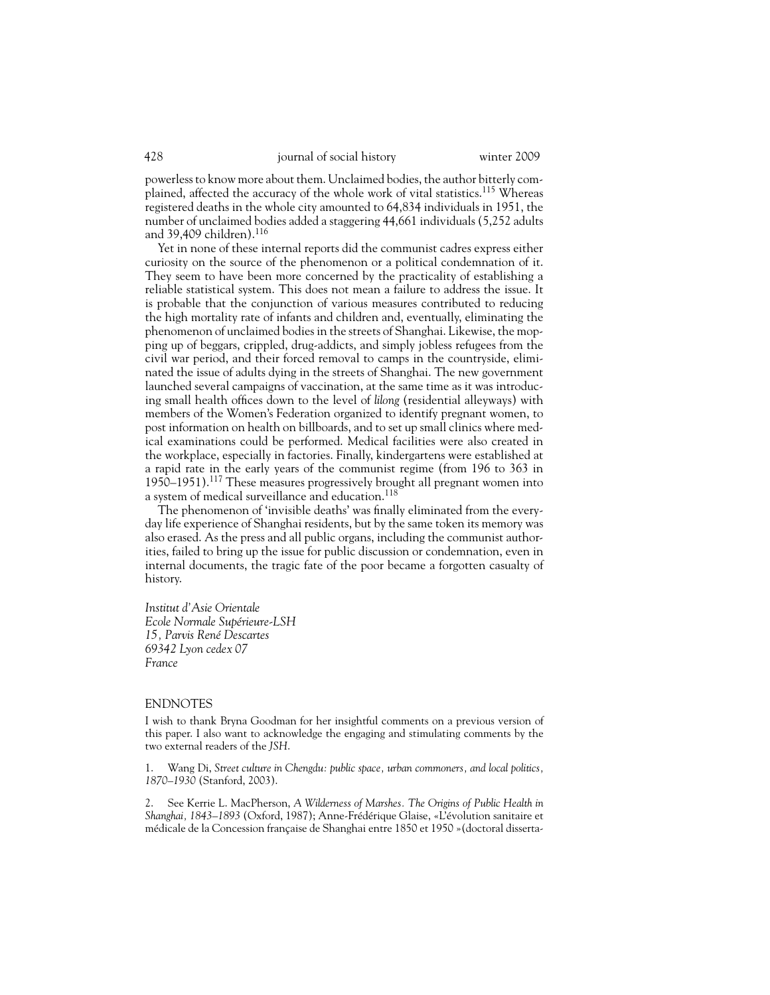powerless to know more about them. Unclaimed bodies, the author bitterly complained, affected the accuracy of the whole work of vital statistics.<sup>115</sup> Whereas registered deaths in the whole city amounted to 64,834 individuals in 1951, the number of unclaimed bodies added a staggering 44,661 individuals (5,252 adults and 39.409 children).<sup>116</sup>

Yet in none of these internal reports did the communist cadres express either curiosity on the source of the phenomenon or a political condemnation of it. They seem to have been more concerned by the practicality of establishing a reliable statistical system. This does not mean a failure to address the issue. It is probable that the conjunction of various measures contributed to reducing the high mortality rate of infants and children and, eventually, eliminating the phenomenon of unclaimed bodies in the streets of Shanghai. Likewise, the mopping up of beggars, crippled, drug-addicts, and simply jobless refugees from the civil war period, and their forced removal to camps in the countryside, eliminated the issue of adults dying in the streets of Shanghai. The new government launched several campaigns of vaccination, at the same time as it was introducing small health offices down to the level of *lilong* (residential alleyways) with members of the Women's Federation organized to identify pregnant women, to post information on health on billboards, and to set up small clinics where medical examinations could be performed. Medical facilities were also created in the workplace, especially in factories. Finally, kindergartens were established at a rapid rate in the early years of the communist regime (from 196 to 363 in 1950–1951).<sup>117</sup> These measures progressively brought all pregnant women into a system of medical surveillance and education.<sup>118</sup>

The phenomenon of 'invisible deaths' was finally eliminated from the everyday life experience of Shanghai residents, but by the same token its memory was also erased. As the press and all public organs, including the communist authorities, failed to bring up the issue for public discussion or condemnation, even in internal documents, the tragic fate of the poor became a forgotten casualty of history.

*Institut d'Asie Orientale Ecole Normale Supérieure-LSH 15, Parvis René Descartes 69342 Lyon cedex 07 France*

#### ENDNOTES

I wish to thank Bryna Goodman for her insightful comments on a previous version of this paper. I also want to acknowledge the engaging and stimulating comments by the two external readers of the *JSH*.

1. Wang Di, *Street culture in Chengdu: public space, urban commoners, and local politics, 1870–1930* (Stanford, 2003).

2. See Kerrie L. MacPherson, *A Wilderness of Marshes. The Origins of Public Health in Shanghai, 1843–1893* (Oxford, 1987); Anne-Frédérique Glaise, «L'évolution sanitaire et médicale de la Concession française de Shanghai entre 1850 et 1950 »(doctoral disserta-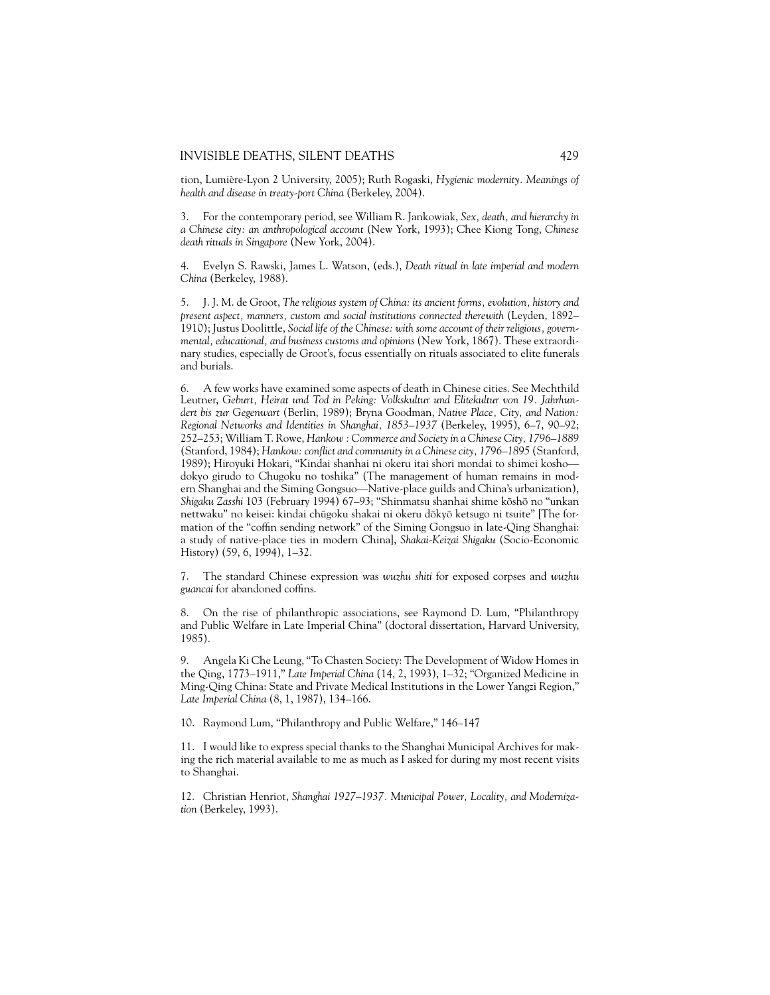tion, Lumière-Lyon 2 University, 2005); Ruth Rogaski, *Hygienic modernity. Meanings of health and disease in treaty-port China* (Berkeley, 2004).

3. For the contemporary period, see William R. Jankowiak, *Sex, death, and hierarchy in a Chinese city: an anthropological account* (New York, 1993); Chee Kiong Tong, *Chinese death rituals in Singapore* (New York, 2004).

4. Evelyn S. Rawski, James L. Watson, (eds.), *Death ritual in late imperial and modern China* (Berkeley, 1988).

5. J. J. M. de Groot, *The religious system of China: its ancient forms, evolution, history and present aspect, manners, custom and social institutions connected therewith* (Leyden, 1892– 1910); Justus Doolittle, *Social life of the Chinese: with some account of their religious, governmental, educational, and business customs and opinions* (New York, 1867). These extraordinary studies, especially de Groot's, focus essentially on rituals associated to elite funerals and burials.

6. A few works have examined some aspects of death in Chinese cities. See Mechthild Leutner, *Geburt, Heirat und Tod in Peking: Volkskultur und Elitekultur von 19. Jahrhundert bis zur Gegenwart* (Berlin, 1989); Bryna Goodman, *Native Place, City, and Nation: Regional Networks and Identities in Shanghai, 1853–1937* (Berkeley, 1995), 6–7, 90–92; 252–253; William T. Rowe, *Hankow : Commerce and Society in a Chinese City, 1796–1889* (Stanford, 1984); *Hankow: conflict and community in a Chinese city, 1796–1895* (Stanford, 1989); Hiroyuki Hokari, "Kindai shanhai ni okeru itai shori mondai to shimei kosho dokyo girudo to Chugoku no toshika" (The management of human remains in modern Shanghai and the Siming Gongsuo—Native-place guilds and China's urbanization), Shigaku Zasshi 103 (February 1994) 67–93; "Shinmatsu shanhai shime kosho no "unkan nettwaku" no keisei: kindai chūgoku shakai ni okeru dōkyō ketsugo ni tsuite" [The formation of the "coffin sending network" of the Siming Gongsuo in late-Qing Shanghai: a study of native-place ties in modern China], *Shakai-Keizai Shigaku* (Socio-Economic History) (59, 6, 1994), 1–32.

7. The standard Chinese expression was *wuzhu shiti* for exposed corpses and *wuzhu guancai* for abandoned coffins.

8. On the rise of philanthropic associations, see Raymond D. Lum, "Philanthropy and Public Welfare in Late Imperial China" (doctoral dissertation, Harvard University, 1985).

9. Angela Ki Che Leung, "To Chasten Society: The Development of Widow Homes in the Qing, 1773–1911," *Late Imperial China* (14, 2, 1993), 1–32; "Organized Medicine in Ming-Qing China: State and Private Medical Institutions in the Lower Yangzi Region," *Late Imperial China* (8, 1, 1987), 134–166.

10. Raymond Lum, "Philanthropy and Public Welfare," 146–147

11. I would like to express special thanks to the Shanghai Municipal Archives for making the rich material available to me as much as I asked for during my most recent visits to Shanghai.

12. Christian Henriot, *Shanghai 1927–1937. Municipal Power, Locality, and Modernization* (Berkeley, 1993).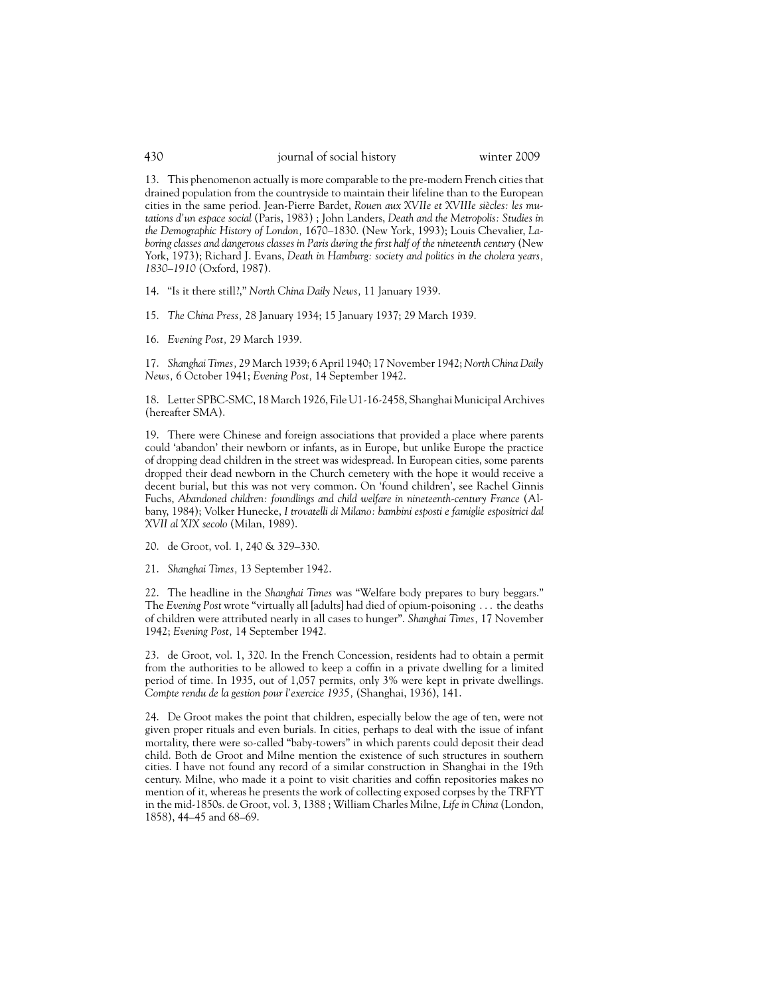13. This phenomenon actually is more comparable to the pre-modern French cities that drained population from the countryside to maintain their lifeline than to the European cities in the same period. Jean-Pierre Bardet, *Rouen aux XVIIe et XVIIIe siècles: les mutations d'un espace social* (Paris, 1983) ; John Landers, *Death and the Metropolis: Studies in the Demographic History of London,* 1670–1830. (New York, 1993); Louis Chevalier, *Laboring classes and dangerous classes in Paris during the first half of the nineteenth century* (New York, 1973); Richard J. Evans, *Death in Hamburg: society and politics in the cholera years, 1830–1910* (Oxford, 1987).

14. "Is it there still?," *North China Daily News,* 11 January 1939.

15. *The China Press,* 28 January 1934; 15 January 1937; 29 March 1939.

16. *Evening Post,* 29 March 1939.

17. *Shanghai Times,* 29 March 1939; 6 April 1940; 17 November 1942; *North China Daily News,* 6 October 1941; *Evening Post,* 14 September 1942.

18. Letter SPBC-SMC, 18 March 1926, File U1-16-2458, Shanghai Municipal Archives (hereafter SMA).

19. There were Chinese and foreign associations that provided a place where parents could 'abandon' their newborn or infants, as in Europe, but unlike Europe the practice of dropping dead children in the street was widespread. In European cities, some parents dropped their dead newborn in the Church cemetery with the hope it would receive a decent burial, but this was not very common. On 'found children', see Rachel Ginnis Fuchs, *Abandoned children: foundlings and child welfare in nineteenth-century France* (Albany, 1984); Volker Hunecke, *I trovatelli di Milano: bambini esposti e famiglie espositrici dal XVII al XIX secolo* (Milan, 1989).

20. de Groot, vol. 1, 240 & 329–330.

21. *Shanghai Times,* 13 September 1942.

22. The headline in the *Shanghai Times* was "Welfare body prepares to bury beggars." The *Evening Post* wrote "virtually all [adults] had died of opium-poisoning . . . the deaths of children were attributed nearly in all cases to hunger". *Shanghai Times,* 17 November 1942; *Evening Post,* 14 September 1942.

23. de Groot, vol. 1, 320. In the French Concession, residents had to obtain a permit from the authorities to be allowed to keep a coffin in a private dwelling for a limited period of time. In 1935, out of 1,057 permits, only 3% were kept in private dwellings. *Compte rendu de la gestion pour l'exercice 1935,* (Shanghai, 1936), 141.

24. De Groot makes the point that children, especially below the age of ten, were not given proper rituals and even burials. In cities, perhaps to deal with the issue of infant mortality, there were so-called "baby-towers" in which parents could deposit their dead child. Both de Groot and Milne mention the existence of such structures in southern cities. I have not found any record of a similar construction in Shanghai in the 19th century. Milne, who made it a point to visit charities and coffin repositories makes no mention of it, whereas he presents the work of collecting exposed corpses by the TRFYT in the mid-1850s. de Groot, vol. 3, 1388 ; William Charles Milne, *Life in China* (London, 1858), 44–45 and 68–69.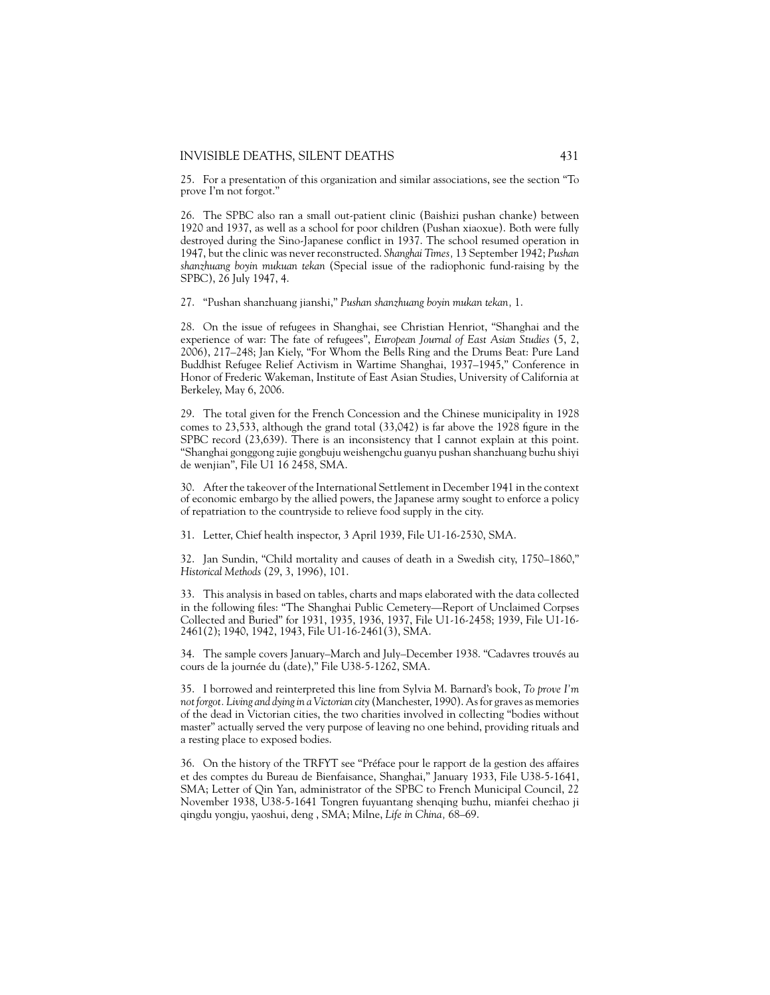25. For a presentation of this organization and similar associations, see the section "To prove I'm not forgot."

26. The SPBC also ran a small out-patient clinic (Baishizi pushan chanke) between 1920 and 1937, as well as a school for poor children (Pushan xiaoxue). Both were fully destroyed during the Sino-Japanese conflict in 1937. The school resumed operation in 1947, but the clinic was never reconstructed. *Shanghai Times,* 13 September 1942; *Pushan shanzhuang boyin mukuan tekan* (Special issue of the radiophonic fund-raising by the SPBC), 26 July 1947, 4.

27. "Pushan shanzhuang jianshi," *Pushan shanzhuang boyin mukan tekan,* 1.

28. On the issue of refugees in Shanghai, see Christian Henriot, "Shanghai and the experience of war: The fate of refugees", *European Journal of East Asian Studies* (5, 2, 2006), 217–248; Jan Kiely, "For Whom the Bells Ring and the Drums Beat: Pure Land Buddhist Refugee Relief Activism in Wartime Shanghai, 1937–1945," Conference in Honor of Frederic Wakeman, Institute of East Asian Studies, University of California at Berkeley, May 6, 2006.

29. The total given for the French Concession and the Chinese municipality in 1928 comes to 23,533, although the grand total (33,042) is far above the 1928 figure in the SPBC record (23,639). There is an inconsistency that I cannot explain at this point. "Shanghai gonggong zujie gongbuju weishengchu guanyu pushan shanzhuang buzhu shiyi de wenjian", File U1 16 2458, SMA.

30. After the takeover of the International Settlement in December 1941 in the context of economic embargo by the allied powers, the Japanese army sought to enforce a policy of repatriation to the countryside to relieve food supply in the city.

31. Letter, Chief health inspector, 3 April 1939, File U1-16-2530, SMA.

32. Jan Sundin, "Child mortality and causes of death in a Swedish city, 1750–1860," *Historical Methods* (29, 3, 1996), 101.

33. This analysis in based on tables, charts and maps elaborated with the data collected in the following files: "The Shanghai Public Cemetery—Report of Unclaimed Corpses Collected and Buried" for 1931, 1935, 1936, 1937, File U1-16-2458; 1939, File U1-16- 2461(2); 1940, 1942, 1943, File U1-16-2461(3), SMA.

34. The sample covers January–March and July–December 1938. "Cadavres trouvés au cours de la journée du (date)," File U38-5-1262, SMA.

35. I borrowed and reinterpreted this line from Sylvia M. Barnard's book, *To prove I'm not forgot. Living and dying in a Victorian city* (Manchester, 1990). As for graves as memories of the dead in Victorian cities, the two charities involved in collecting "bodies without master" actually served the very purpose of leaving no one behind, providing rituals and a resting place to exposed bodies.

36. On the history of the TRFYT see "Préface pour le rapport de la gestion des affaires et des comptes du Bureau de Bienfaisance, Shanghai," January 1933, File U38-5-1641, SMA; Letter of Qin Yan, administrator of the SPBC to French Municipal Council, 22 November 1938, U38-5-1641 Tongren fuyuantang shenqing buzhu, mianfei chezhao ji qingdu yongju, yaoshui, deng , SMA; Milne, *Life in China,* 68–69.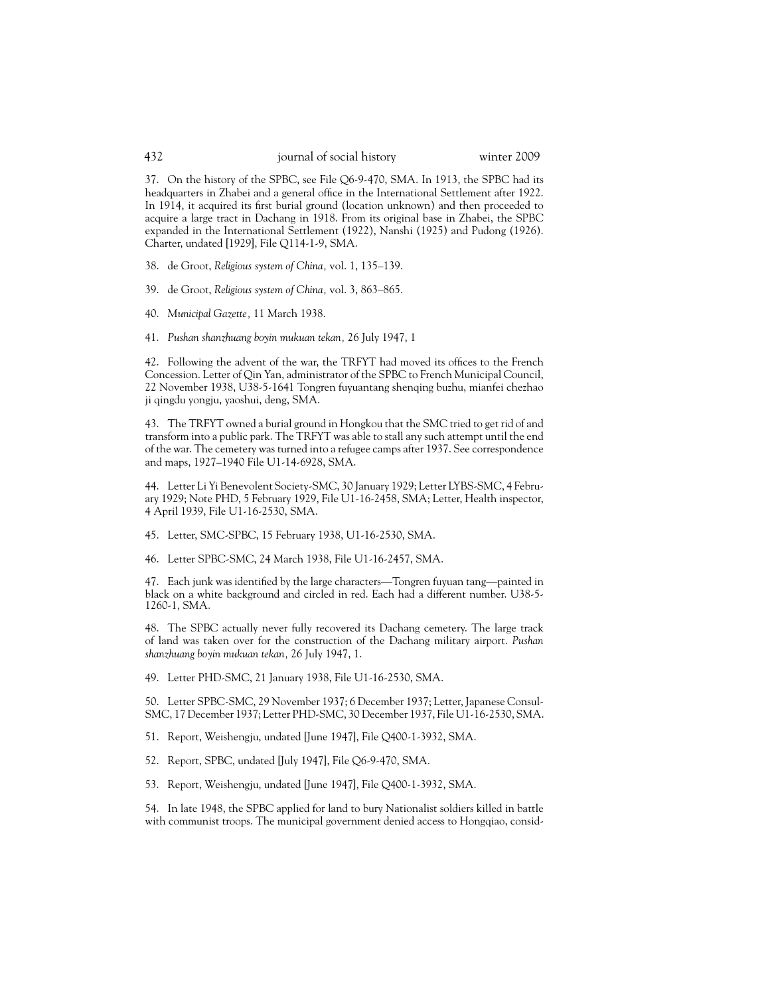37. On the history of the SPBC, see File Q6-9-470, SMA. In 1913, the SPBC had its headquarters in Zhabei and a general office in the International Settlement after 1922. In 1914, it acquired its first burial ground (location unknown) and then proceeded to acquire a large tract in Dachang in 1918. From its original base in Zhabei, the SPBC expanded in the International Settlement (1922), Nanshi (1925) and Pudong (1926). Charter, undated [1929], File Q114-1-9, SMA.

38. de Groot, *Religious system of China,* vol. 1, 135–139.

39. de Groot, *Religious system of China,* vol. 3, 863–865.

40. *Municipal Gazette,* 11 March 1938.

41. *Pushan shanzhuang boyin mukuan tekan,* 26 July 1947, 1

42. Following the advent of the war, the TRFYT had moved its offices to the French Concession. Letter of Qin Yan, administrator of the SPBC to French Municipal Council, 22 November 1938, U38-5-1641 Tongren fuyuantang shenqing buzhu, mianfei chezhao ji qingdu yongju, yaoshui, deng, SMA.

43. The TRFYT owned a burial ground in Hongkou that the SMC tried to get rid of and transform into a public park. The TRFYT was able to stall any such attempt until the end of the war. The cemetery was turned into a refugee camps after 1937. See correspondence and maps, 1927–1940 File U1-14-6928, SMA.

44. Letter Li Yi Benevolent Society-SMC, 30 January 1929; Letter LYBS-SMC, 4 February 1929; Note PHD, 5 February 1929, File U1-16-2458, SMA; Letter, Health inspector, 4 April 1939, File U1-16-2530, SMA.

45. Letter, SMC-SPBC, 15 February 1938, U1-16-2530, SMA.

46. Letter SPBC-SMC, 24 March 1938, File U1-16-2457, SMA.

47. Each junk was identified by the large characters—Tongren fuyuan tang—painted in black on a white background and circled in red. Each had a different number. U38-5- 1260-1, SMA.

48. The SPBC actually never fully recovered its Dachang cemetery. The large track of land was taken over for the construction of the Dachang military airport. *Pushan shanzhuang boyin mukuan tekan,* 26 July 1947, 1.

49. Letter PHD-SMC, 21 January 1938, File U1-16-2530, SMA.

50. Letter SPBC-SMC, 29 November 1937; 6 December 1937; Letter, Japanese Consul-SMC, 17 December 1937; Letter PHD-SMC, 30 December 1937, File U1-16-2530, SMA.

51. Report, Weishengju, undated [June 1947], File Q400-1-3932, SMA.

52. Report, SPBC, undated [July 1947], File Q6-9-470, SMA.

53. Report, Weishengju, undated [June 1947], File Q400-1-3932, SMA.

54. In late 1948, the SPBC applied for land to bury Nationalist soldiers killed in battle with communist troops. The municipal government denied access to Hongqiao, consid-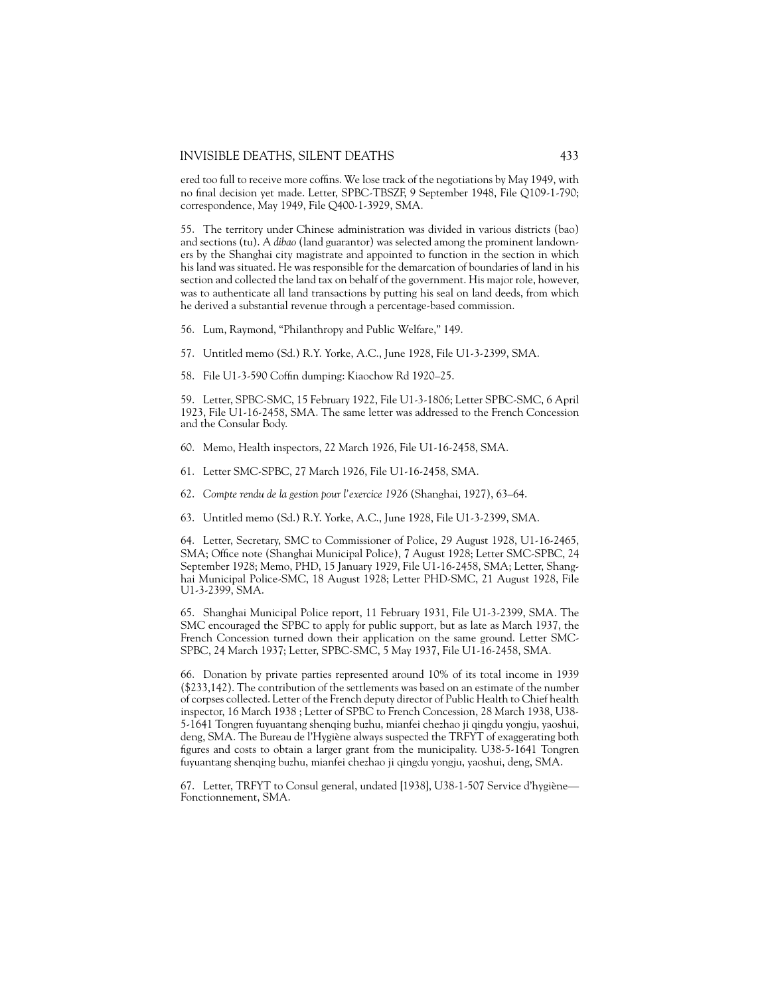ered too full to receive more coffins. We lose track of the negotiations by May 1949, with no final decision yet made. Letter, SPBC-TBSZF, 9 September 1948, File Q109-1-790; correspondence, May 1949, File Q400-1-3929, SMA.

55. The territory under Chinese administration was divided in various districts (bao) and sections (tu). A *dibao* (land guarantor) was selected among the prominent landowners by the Shanghai city magistrate and appointed to function in the section in which his land was situated. He was responsible for the demarcation of boundaries of land in his section and collected the land tax on behalf of the government. His major role, however, was to authenticate all land transactions by putting his seal on land deeds, from which he derived a substantial revenue through a percentage-based commission.

56. Lum, Raymond, "Philanthropy and Public Welfare," 149.

57. Untitled memo (Sd.) R.Y. Yorke, A.C., June 1928, File U1-3-2399, SMA.

58. File U1-3-590 Coffin dumping: Kiaochow Rd 1920–25.

59. Letter, SPBC-SMC, 15 February 1922, File U1-3-1806; Letter SPBC-SMC, 6 April 1923, File U1-16-2458, SMA. The same letter was addressed to the French Concession and the Consular Body.

60. Memo, Health inspectors, 22 March 1926, File U1-16-2458, SMA.

61. Letter SMC-SPBC, 27 March 1926, File U1-16-2458, SMA.

62. *Compte rendu de la gestion pour l'exercice 1926* (Shanghai, 1927), 63–64.

63. Untitled memo (Sd.) R.Y. Yorke, A.C., June 1928, File U1-3-2399, SMA.

64. Letter, Secretary, SMC to Commissioner of Police, 29 August 1928, U1-16-2465, SMA; Office note (Shanghai Municipal Police), 7 August 1928; Letter SMC-SPBC, 24 September 1928; Memo, PHD, 15 January 1929, File U1-16-2458, SMA; Letter, Shanghai Municipal Police-SMC, 18 August 1928; Letter PHD-SMC, 21 August 1928, File U1-3-2399, SMA.

65. Shanghai Municipal Police report, 11 February 1931, File U1-3-2399, SMA. The SMC encouraged the SPBC to apply for public support, but as late as March 1937, the French Concession turned down their application on the same ground. Letter SMC-SPBC, 24 March 1937; Letter, SPBC-SMC, 5 May 1937, File U1-16-2458, SMA.

66. Donation by private parties represented around 10% of its total income in 1939 (\$233,142). The contribution of the settlements was based on an estimate of the number of corpses collected. Letter of the French deputy director of Public Health to Chief health inspector, 16 March 1938 ; Letter of SPBC to French Concession, 28 March 1938, U38- 5-1641 Tongren fuyuantang shenqing buzhu, mianfei chezhao ji qingdu yongju, yaoshui, deng, SMA. The Bureau de l'Hygiène always suspected the TRFYT of exaggerating both figures and costs to obtain a larger grant from the municipality. U38-5-1641 Tongren fuyuantang shenqing buzhu, mianfei chezhao ji qingdu yongju, yaoshui, deng, SMA.

67. Letter, TRFYT to Consul general, undated [1938], U38-1-507 Service d'hygiène— Fonctionnement, SMA.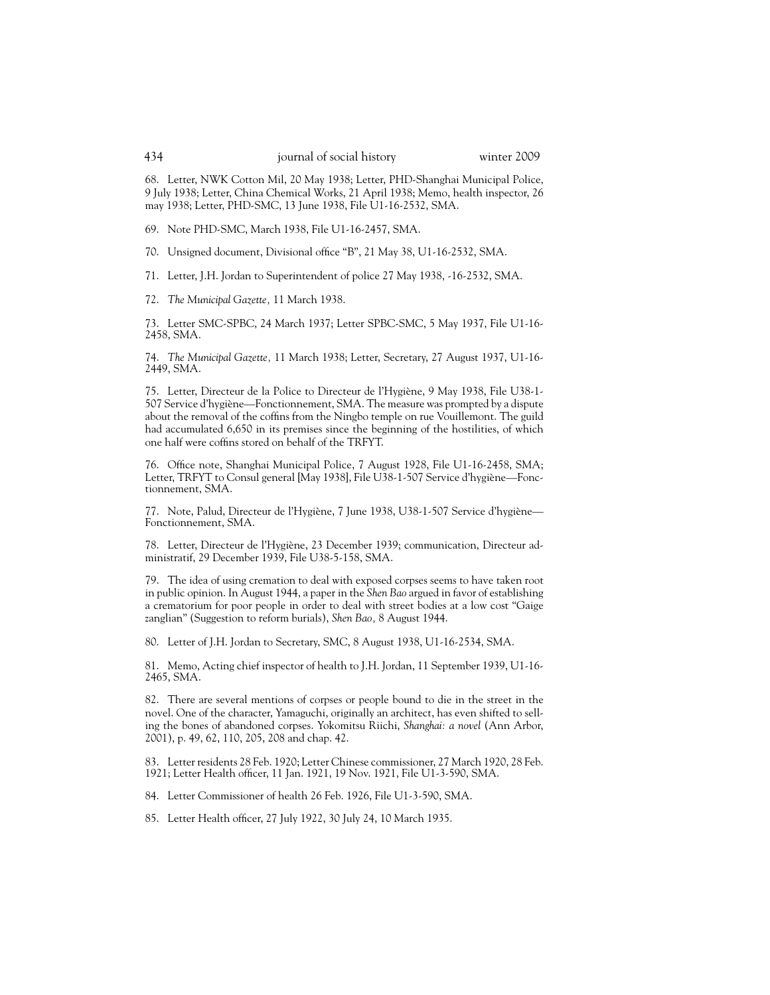68. Letter, NWK Cotton Mil, 20 May 1938; Letter, PHD-Shanghai Municipal Police, 9 July 1938; Letter, China Chemical Works, 21 April 1938; Memo, health inspector, 26 may 1938; Letter, PHD-SMC, 13 June 1938, File U1-16-2532, SMA.

- 69. Note PHD-SMC, March 1938, File U1-16-2457, SMA.
- 70. Unsigned document, Divisional office "B", 21 May 38, U1-16-2532, SMA.
- 71. Letter, J.H. Jordan to Superintendent of police 27 May 1938, -16-2532, SMA.
- 72. *The Municipal Gazette,* 11 March 1938.

73. Letter SMC-SPBC, 24 March 1937; Letter SPBC-SMC, 5 May 1937, File U1-16- 2458, SMA.

74. *The Municipal Gazette,* 11 March 1938; Letter, Secretary, 27 August 1937, U1-16- 2449, SMA.

75. Letter, Directeur de la Police to Directeur de l'Hygiène, 9 May 1938, File U38-1- 507 Service d'hygiène—Fonctionnement, SMA. The measure was prompted by a dispute about the removal of the coffins from the Ningbo temple on rue Vouillemont. The guild had accumulated 6,650 in its premises since the beginning of the hostilities, of which one half were coffins stored on behalf of the TRFYT.

76. Office note, Shanghai Municipal Police, 7 August 1928, File U1-16-2458, SMA; Letter, TRFYT to Consul general [May 1938], File U38-1-507 Service d'hygiène—Fonctionnement, SMA.

77. Note, Palud, Directeur de l'Hygiène, 7 June 1938, U38-1-507 Service d'hygiène— Fonctionnement, SMA.

78. Letter, Directeur de l'Hygiène, 23 December 1939; communication, Directeur administratif, 29 December 1939, File U38-5-158, SMA.

79. The idea of using cremation to deal with exposed corpses seems to have taken root in public opinion. In August 1944, a paper in the *Shen Bao* argued in favor of establishing a crematorium for poor people in order to deal with street bodies at a low cost "Gaige zanglian" (Suggestion to reform burials), *Shen Bao,* 8 August 1944.

80. Letter of J.H. Jordan to Secretary, SMC, 8 August 1938, U1-16-2534, SMA.

81. Memo, Acting chief inspector of health to J.H. Jordan, 11 September 1939, U1-16- 2465, SMA.

82. There are several mentions of corpses or people bound to die in the street in the novel. One of the character, Yamaguchi, originally an architect, has even shifted to selling the bones of abandoned corpses. Yokomitsu Riichi, *Shanghai: a novel* (Ann Arbor, 2001), p. 49, 62, 110, 205, 208 and chap. 42.

83. Letter residents 28 Feb. 1920; Letter Chinese commissioner, 27 March 1920, 28 Feb. 1921; Letter Health officer, 11 Jan. 1921, 19 Nov. 1921, File U1-3-590, SMA.

84. Letter Commissioner of health 26 Feb. 1926, File U1-3-590, SMA.

85. Letter Health officer, 27 July 1922, 30 July 24, 10 March 1935.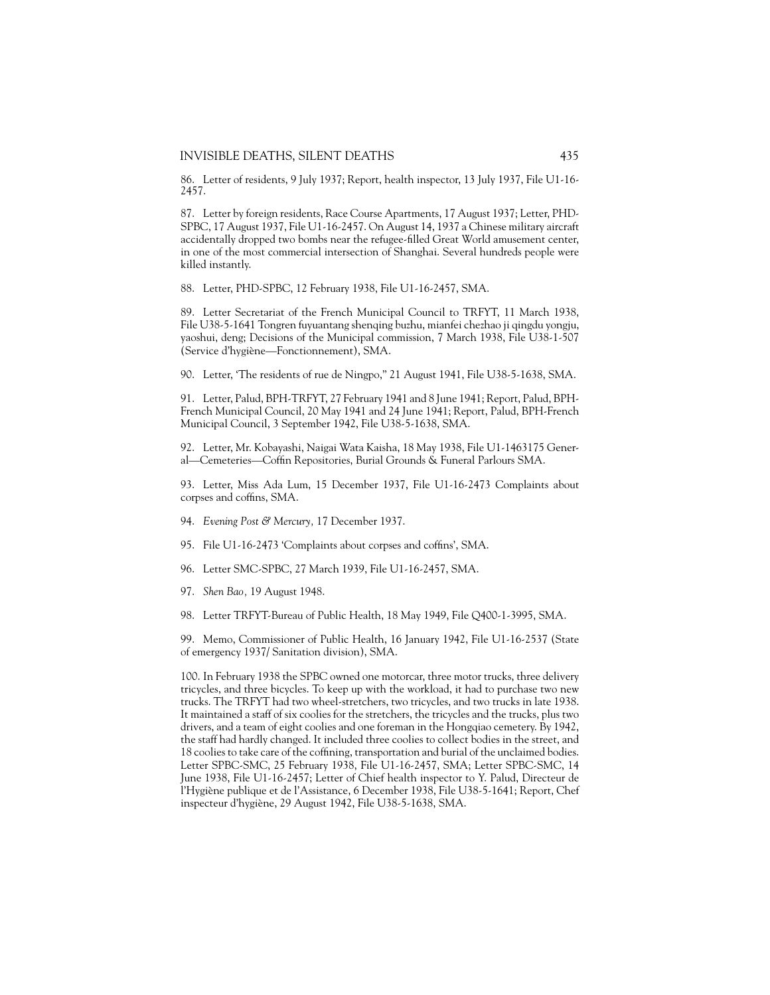86. Letter of residents, 9 July 1937; Report, health inspector, 13 July 1937, File U1-16- 2457.

87. Letter by foreign residents, Race Course Apartments, 17 August 1937; Letter, PHD-SPBC, 17 August 1937, File U1-16-2457. On August 14, 1937 a Chinese military aircraft accidentally dropped two bombs near the refugee-filled Great World amusement center, in one of the most commercial intersection of Shanghai. Several hundreds people were killed instantly.

88. Letter, PHD-SPBC, 12 February 1938, File U1-16-2457, SMA.

89. Letter Secretariat of the French Municipal Council to TRFYT, 11 March 1938, File U38-5-1641 Tongren fuyuantang shenqing buzhu, mianfei chezhao ji qingdu yongju, yaoshui, deng; Decisions of the Municipal commission, 7 March 1938, File U38-1-507 (Service d'hygiène—Fonctionnement), SMA.

90. Letter, 'The residents of rue de Ningpo," 21 August 1941, File U38-5-1638, SMA.

91. Letter, Palud, BPH-TRFYT, 27 February 1941 and 8 June 1941; Report, Palud, BPH-French Municipal Council, 20 May 1941 and 24 June 1941; Report, Palud, BPH-French Municipal Council, 3 September 1942, File U38-5-1638, SMA.

92. Letter, Mr. Kobayashi, Naigai Wata Kaisha, 18 May 1938, File U1-1463175 General—Cemeteries—Coffin Repositories, Burial Grounds & Funeral Parlours SMA.

93. Letter, Miss Ada Lum, 15 December 1937, File U1-16-2473 Complaints about corpses and coffins, SMA.

94. *Evening Post & Mercury,* 17 December 1937.

95. File U1-16-2473 'Complaints about corpses and coffins', SMA.

96. Letter SMC-SPBC, 27 March 1939, File U1-16-2457, SMA.

97. *Shen Bao,* 19 August 1948.

98. Letter TRFYT-Bureau of Public Health, 18 May 1949, File Q400-1-3995, SMA.

99. Memo, Commissioner of Public Health, 16 January 1942, File U1-16-2537 (State of emergency 1937/ Sanitation division), SMA.

100. In February 1938 the SPBC owned one motorcar, three motor trucks, three delivery tricycles, and three bicycles. To keep up with the workload, it had to purchase two new trucks. The TRFYT had two wheel-stretchers, two tricycles, and two trucks in late 1938. It maintained a staff of six coolies for the stretchers, the tricycles and the trucks, plus two drivers, and a team of eight coolies and one foreman in the Hongqiao cemetery. By 1942, the staff had hardly changed. It included three coolies to collect bodies in the street, and 18 coolies to take care of the coffining, transportation and burial of the unclaimed bodies. Letter SPBC-SMC, 25 February 1938, File U1-16-2457, SMA; Letter SPBC-SMC, 14 June 1938, File U1-16-2457; Letter of Chief health inspector to Y. Palud, Directeur de l'Hygiène publique et de l'Assistance, 6 December 1938, File U38-5-1641; Report, Chef inspecteur d'hygiène, 29 August 1942, File U38-5-1638, SMA.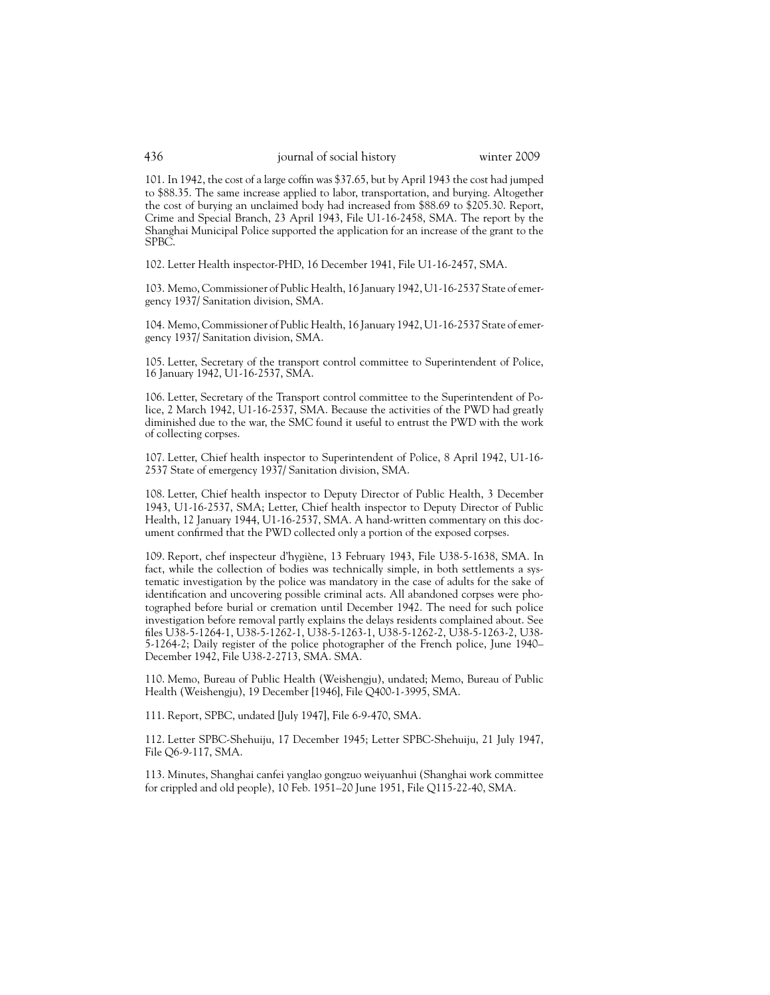101. In 1942, the cost of a large coffin was \$37.65, but by April 1943 the cost had jumped to \$88.35. The same increase applied to labor, transportation, and burying. Altogether the cost of burying an unclaimed body had increased from \$88.69 to \$205.30. Report, Crime and Special Branch, 23 April 1943, File U1-16-2458, SMA. The report by the Shanghai Municipal Police supported the application for an increase of the grant to the SPBC.

102. Letter Health inspector-PHD, 16 December 1941, File U1-16-2457, SMA.

103. Memo, Commissioner of Public Health, 16 January 1942, U1-16-2537 State of emergency 1937/ Sanitation division, SMA.

104. Memo, Commissioner of Public Health, 16 January 1942, U1-16-2537 State of emergency 1937/ Sanitation division, SMA.

105. Letter, Secretary of the transport control committee to Superintendent of Police, 16 January 1942, U1-16-2537, SMA.

106. Letter, Secretary of the Transport control committee to the Superintendent of Police, 2 March 1942, U1-16-2537, SMA. Because the activities of the PWD had greatly diminished due to the war, the SMC found it useful to entrust the PWD with the work of collecting corpses.

107. Letter, Chief health inspector to Superintendent of Police, 8 April 1942, U1-16- 2537 State of emergency 1937/ Sanitation division, SMA.

108. Letter, Chief health inspector to Deputy Director of Public Health, 3 December 1943, U1-16-2537, SMA; Letter, Chief health inspector to Deputy Director of Public Health, 12 January 1944, U1-16-2537, SMA. A hand-written commentary on this document confirmed that the PWD collected only a portion of the exposed corpses.

109. Report, chef inspecteur d'hygiène, 13 February 1943, File U38-5-1638, SMA. In fact, while the collection of bodies was technically simple, in both settlements a systematic investigation by the police was mandatory in the case of adults for the sake of identification and uncovering possible criminal acts. All abandoned corpses were photographed before burial or cremation until December 1942. The need for such police investigation before removal partly explains the delays residents complained about. See files U38-5-1264-1, U38-5-1262-1, U38-5-1263-1, U38-5-1262-2, U38-5-1263-2, U38- 5-1264-2; Daily register of the police photographer of the French police, June 1940– December 1942, File U38-2-2713, SMA. SMA.

110. Memo, Bureau of Public Health (Weishengju), undated; Memo, Bureau of Public Health (Weishengju), 19 December [1946], File Q400-1-3995, SMA.

111. Report, SPBC, undated [July 1947], File 6-9-470, SMA.

112. Letter SPBC-Shehuiju, 17 December 1945; Letter SPBC-Shehuiju, 21 July 1947, File Q6-9-117, SMA.

113. Minutes, Shanghai canfei yanglao gongzuo weiyuanhui (Shanghai work committee for crippled and old people), 10 Feb. 1951–20 June 1951, File Q115-22-40, SMA.